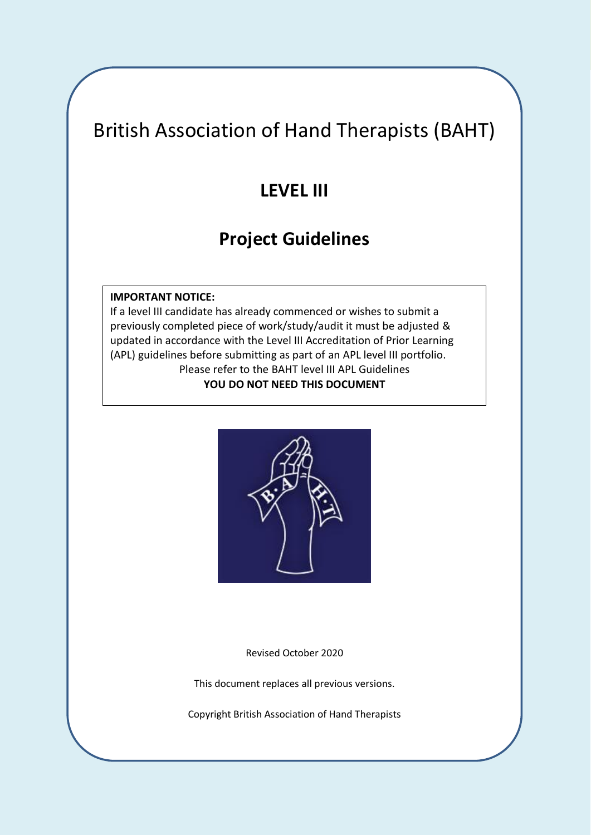# British Association of Hand Therapists (BAHT)

# **LEVEL III**

# **Project Guidelines**

### **IMPORTANT NOTICE:**

**These guide is you bo not need this document is an injection of**  $\mathbf{N}$  **in**  $\mathbf{N}$  **in**  $\mathbf{N}$  **in**  $\mathbf{N}$  **in**  $\mathbf{N}$  **in**  $\mathbf{N}$  **in**  $\mathbf{N}$  **in**  $\mathbf{N}$  **in**  $\mathbf{N}$  **in**  $\mathbf{N}$  **in**  $\mathbf{N}$  **in**  $\mathbf{N}$  **in**  $\mathbf{N}$  **in** If a level III candidate has already commenced or wishes to submit a previously completed piece of work/study/audit it must be adjusted & updated in accordance with the Level III Accreditation of Prior Learning (APL) guidelines before submitting as part of an APL level III portfolio. Please refer to the BAHT level III APL Guidelines

therapy module, Brunel MSc Hand Therapy Module or Ulster MSc Hand Therapy module)



Revised October 2020

This document replaces all previous versions.

Copyright British Association of Hand Therapists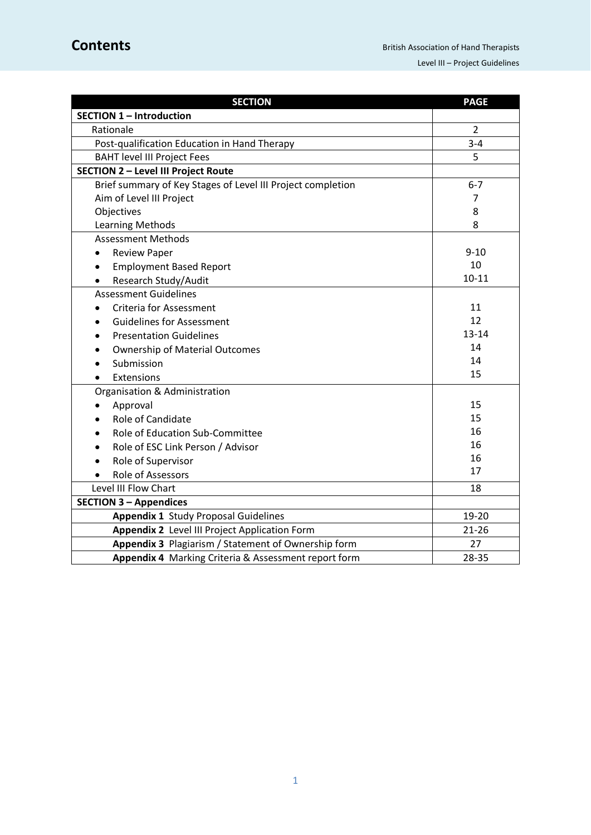| <b>SECTION</b>                                              | <b>PAGE</b>    |
|-------------------------------------------------------------|----------------|
| <b>SECTION 1 - Introduction</b>                             |                |
| Rationale                                                   | $\overline{2}$ |
| Post-qualification Education in Hand Therapy                | $3 - 4$        |
| <b>BAHT level III Project Fees</b>                          | 5              |
| <b>SECTION 2 - Level III Project Route</b>                  |                |
| Brief summary of Key Stages of Level III Project completion | $6 - 7$        |
| Aim of Level III Project                                    | 7              |
| Objectives                                                  | 8              |
| Learning Methods                                            | 8              |
| <b>Assessment Methods</b>                                   |                |
| <b>Review Paper</b>                                         | $9 - 10$       |
| <b>Employment Based Report</b><br>$\bullet$                 | 10             |
| Research Study/Audit                                        | $10 - 11$      |
| <b>Assessment Guidelines</b>                                |                |
| <b>Criteria for Assessment</b>                              | 11             |
| <b>Guidelines for Assessment</b>                            | 12             |
| <b>Presentation Guidelines</b>                              | $13 - 14$      |
| <b>Ownership of Material Outcomes</b>                       | 14             |
| Submission                                                  | 14             |
| Extensions                                                  | 15             |
| Organisation & Administration                               |                |
| Approval                                                    | 15             |
| <b>Role of Candidate</b>                                    | 15             |
| Role of Education Sub-Committee                             | 16             |
| Role of ESC Link Person / Advisor                           | 16             |
| Role of Supervisor                                          | 16             |
| Role of Assessors                                           | 17             |
| Level III Flow Chart                                        | 18             |
| <b>SECTION 3 - Appendices</b>                               |                |
| <b>Appendix 1 Study Proposal Guidelines</b>                 | 19-20          |
| Appendix 2 Level III Project Application Form               | $21 - 26$      |
| Appendix 3 Plagiarism / Statement of Ownership form         | 27             |
| Appendix 4 Marking Criteria & Assessment report form        | 28-35          |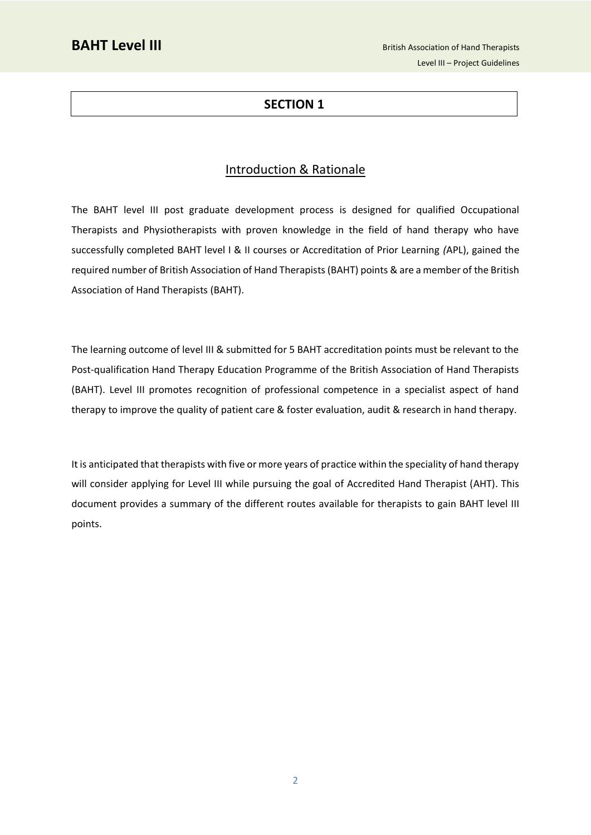## **SECTION 1**

## Introduction & Rationale

The BAHT level III post graduate development process is designed for qualified Occupational Therapists and Physiotherapists with proven knowledge in the field of hand therapy who have successfully completed BAHT level I & II courses or Accreditation of Prior Learning *(*APL), gained the required number of British Association of Hand Therapists (BAHT) points & are a member of the British Association of Hand Therapists (BAHT).

The learning outcome of level III & submitted for 5 BAHT accreditation points must be relevant to the Post-qualification Hand Therapy Education Programme of the British Association of Hand Therapists (BAHT). Level III promotes recognition of professional competence in a specialist aspect of hand therapy to improve the quality of patient care & foster evaluation, audit & research in hand therapy.

It is anticipated that therapists with five or more years of practice within the speciality of hand therapy will consider applying for Level III while pursuing the goal of Accredited Hand Therapist (AHT). This document provides a summary of the different routes available for therapists to gain BAHT level III points.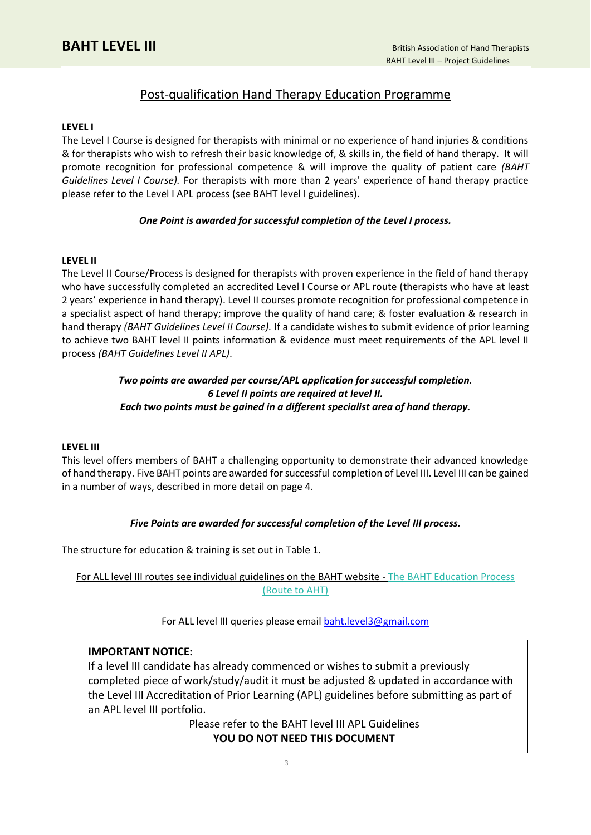## Post-qualification Hand Therapy Education Programme

#### **LEVEL I**

The Level I Course is designed for therapists with minimal or no experience of hand injuries & conditions & for therapists who wish to refresh their basic knowledge of, & skills in, the field of hand therapy. It will promote recognition for professional competence & will improve the quality of patient care *(BAHT Guidelines Level I Course).* For therapists with more than 2 years' experience of hand therapy practice please refer to the Level I APL process (see BAHT level I guidelines).

#### *One Point is awarded for successful completion of the Level I process.*

#### **LEVEL II**

The Level II Course/Process is designed for therapists with proven experience in the field of hand therapy who have successfully completed an accredited Level I Course or APL route (therapists who have at least 2 years' experience in hand therapy). Level II courses promote recognition for professional competence in a specialist aspect of hand therapy; improve the quality of hand care; & foster evaluation & research in hand therapy *(BAHT Guidelines Level II Course).* If a candidate wishes to submit evidence of prior learning to achieve two BAHT level II points information & evidence must meet requirements of the APL level II process *(BAHT Guidelines Level II APL)*.

#### *Two points are awarded per course/APL application for successful completion. 6 Level II points are required at level II. Each two points must be gained in a different specialist area of hand therapy.*

#### **LEVEL III**

This level offers members of BAHT a challenging opportunity to demonstrate their advanced knowledge of hand therapy. Five BAHT points are awarded for successful completion of Level III. Level III can be gained in a number of ways, described in more detail on page 4.

#### *Five Points are awarded for successful completion of the Level III process.*

The structure for education & training is set out in Table 1.

For ALL level III routes see individual guidelines on the BAHT website - The BAHT Education Process (Route to AHT)

#### For ALL level III queries please email [baht.level3@gmail.com](mailto:baht.level3@gmail.com)

#### **IMPORTANT NOTICE:**

If a level III candidate has already commenced or wishes to submit a previously completed piece of work/study/audit it must be adjusted & updated in accordance with the Level III Accreditation of Prior Learning (APL) guidelines before submitting as part of an APL level III portfolio.

> Please refer to the BAHT level III APL Guidelines **YOU DO NOT NEED THIS DOCUMENT**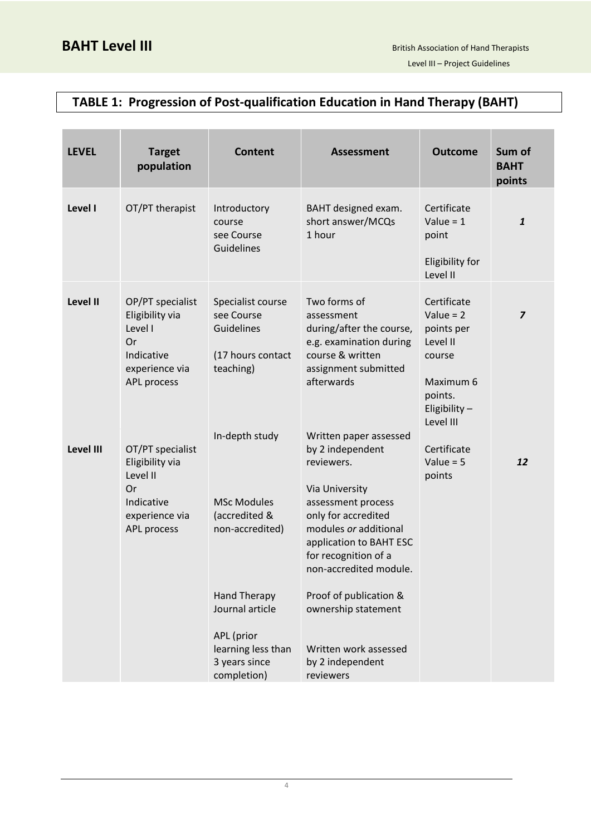# **TABLE 1: Progression of Post-qualification Education in Hand Therapy (BAHT)**

| <b>LEVEL</b>     | <b>Target</b><br>population                                                                          | <b>Content</b>                                                                                                                                                                         | <b>Assessment</b>                                                                                                                                                                                                                                                                                                                        | <b>Outcome</b>                                                                                                         | Sum of<br><b>BAHT</b><br>points |
|------------------|------------------------------------------------------------------------------------------------------|----------------------------------------------------------------------------------------------------------------------------------------------------------------------------------------|------------------------------------------------------------------------------------------------------------------------------------------------------------------------------------------------------------------------------------------------------------------------------------------------------------------------------------------|------------------------------------------------------------------------------------------------------------------------|---------------------------------|
| Level I          | OT/PT therapist                                                                                      | Introductory<br>course<br>see Course<br>Guidelines                                                                                                                                     | BAHT designed exam.<br>short answer/MCQs<br>1 hour                                                                                                                                                                                                                                                                                       | Certificate<br>Value = $1$<br>point<br>Eligibility for<br>Level II                                                     | $\mathbf{1}$                    |
| Level II         | OP/PT specialist<br>Eligibility via<br>Level I<br>Or<br>Indicative<br>experience via<br>APL process  | Specialist course<br>see Course<br>Guidelines<br>(17 hours contact<br>teaching)                                                                                                        | Two forms of<br>assessment<br>during/after the course,<br>e.g. examination during<br>course & written<br>assignment submitted<br>afterwards                                                                                                                                                                                              | Certificate<br>Value = $2$<br>points per<br>Level II<br>course<br>Maximum 6<br>points.<br>Eligibility $-$<br>Level III | $\overline{z}$                  |
| <b>Level III</b> | OT/PT specialist<br>Eligibility via<br>Level II<br>Or<br>Indicative<br>experience via<br>APL process | In-depth study<br><b>MSc Modules</b><br>(accredited &<br>non-accredited)<br><b>Hand Therapy</b><br>Journal article<br>APL (prior<br>learning less than<br>3 years since<br>completion) | Written paper assessed<br>by 2 independent<br>reviewers.<br>Via University<br>assessment process<br>only for accredited<br>modules or additional<br>application to BAHT ESC<br>for recognition of a<br>non-accredited module.<br>Proof of publication &<br>ownership statement<br>Written work assessed<br>by 2 independent<br>reviewers | Certificate<br>Value = $5$<br>points                                                                                   | 12                              |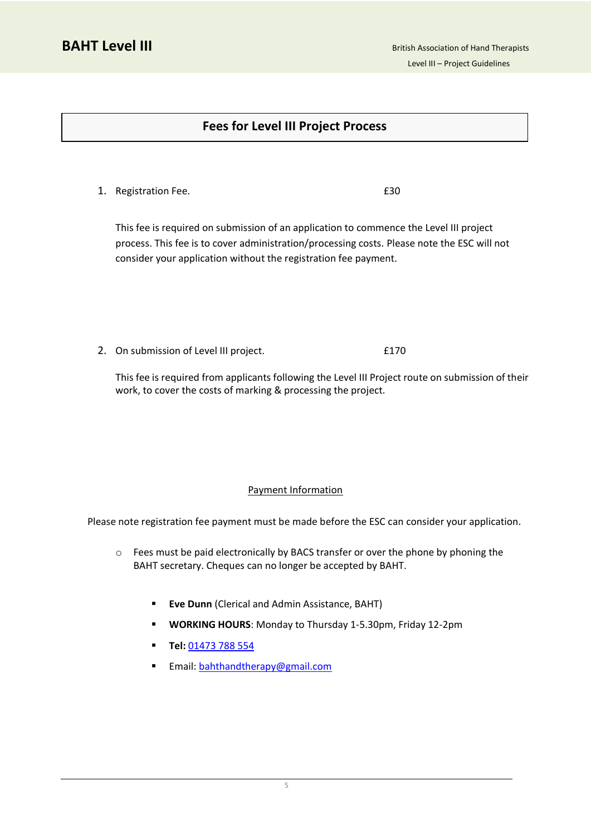## **Fees for Level III Project Process**

1. Registration Fee. **E30** 

This fee is required on submission of an application to commence the Level III project process. This fee is to cover administration/processing costs. Please note the ESC will not consider your application without the registration fee payment.

2. On submission of Level III project. The matrix of the sub-

This fee is required from applicants following the Level III Project route on submission of their work, to cover the costs of marking & processing the project.

### Payment Information

Please note registration fee payment must be made before the ESC can consider your application.

- o Fees must be paid electronically by BACS transfer or over the phone by phoning the BAHT secretary. Cheques can no longer be accepted by BAHT.
	- **Eve Dunn** (Clerical and Admin Assistance, BAHT)
	- **WORKING HOURS**: Monday to Thursday 1-5.30pm, Friday 12-2pm
	- **Tel:** [01473](tel:01394610131) 788 554
	- **Email:** [bahthandtherapy@gmail.com](mailto:bahthandtherapy@gmail.com)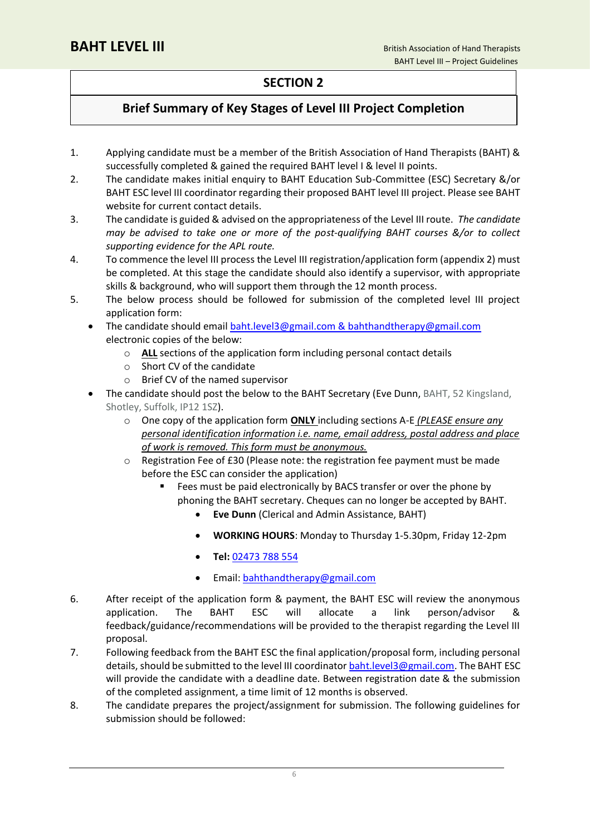## **SECTION 2**

## **Brief Summary of Key Stages of Level III Project Completion**

- 1. Applying candidate must be a member of the British Association of Hand Therapists (BAHT) & successfully completed & gained the required BAHT level I & level II points.
- 2. The candidate makes initial enquiry to BAHT Education Sub-Committee (ESC) Secretary &/or BAHT ESC level III coordinator regarding their proposed BAHT level III project. Please see BAHT website for current contact details.
- 3. The candidate is guided & advised on the appropriateness of the Level III route. *The candidate may be advised to take one or more of the post-qualifying BAHT courses &/or to collect supporting evidence for the APL route.*
- 4. To commence the level III process the Level III registration/application form (appendix 2) must be completed. At this stage the candidate should also identify a supervisor, with appropriate skills & background, who will support them through the 12 month process.
- 5. The below process should be followed for submission of the completed level III project application form:
	- The candidate should email [baht.level3@gmail.com](mailto:handtherapy@sky.com) & bahthandtherapy@gmail.com electronic copies of the below:
		- o **ALL** sections of the application form including personal contact details
		- o Short CV of the candidate
		- o Brief CV of the named supervisor
	- The candidate should post the below to the BAHT Secretary (Eve Dunn, BAHT, 52 Kingsland, Shotley, Suffolk, IP12 1SZ).
		- o One copy of the application form **ONLY** including sections A-E *(PLEASE ensure any personal identification information i.e. name, email address, postal address and place of work is removed. This form must be anonymous.*
		- o Registration Fee of £30 (Please note: the registration fee payment must be made before the ESC can consider the application)
			- Fees must be paid electronically by BACS transfer or over the phone by phoning the BAHT secretary. Cheques can no longer be accepted by BAHT.
				- **Eve Dunn** (Clerical and Admin Assistance, BAHT)
				- **WORKING HOURS**: Monday to Thursday 1-5.30pm, Friday 12-2pm
				- **Tel:** [02473](tel:01394610131) 788 554
				- Email: [bahthandtherapy@gmail.com](mailto:bahthandtherapy@gmail.com)
- 6. After receipt of the application form & payment, the BAHT ESC will review the anonymous application. The BAHT ESC will allocate a link person/advisor feedback/guidance/recommendations will be provided to the therapist regarding the Level III proposal.
- 7. Following feedback from the BAHT ESC the final application/proposal form, including personal details, should be submitted to the level III coordinator [baht.level3@gmail.com.](mailto:handtherapy@sky.com) The BAHT ESC will provide the candidate with a deadline date. Between registration date & the submission of the completed assignment, a time limit of 12 months is observed.
- 8. The candidate prepares the project/assignment for submission. The following guidelines for submission should be followed: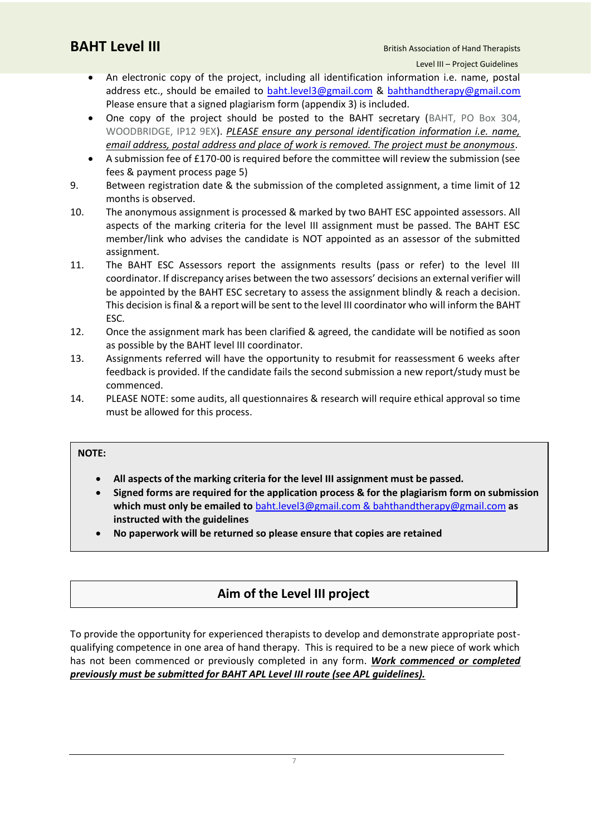- An electronic copy of the project, including all identification information i.e. name, postal address etc., should be emailed to [baht.level3@gmail.com](mailto:handtherapy@sky.com) & [bahthandtherapy@gmail.com](mailto:bahthandtherapy@gmail.com) Please ensure that a signed plagiarism form (appendix 3) is included.
- One copy of the project should be posted to the BAHT secretary (BAHT, PO Box 304, WOODBRIDGE, IP12 9EX). *PLEASE ensure any personal identification information i.e. name, email address, postal address and place of work is removed. The project must be anonymous*.
- A submission fee of £170-00 is required before the committee will review the submission (see fees & payment process page 5)
- 9. Between registration date & the submission of the completed assignment, a time limit of 12 months is observed.
- 10. The anonymous assignment is processed & marked by two BAHT ESC appointed assessors. All aspects of the marking criteria for the level III assignment must be passed. The BAHT ESC member/link who advises the candidate is NOT appointed as an assessor of the submitted assignment.
- 11. The BAHT ESC Assessors report the assignments results (pass or refer) to the level III coordinator. If discrepancy arises between the two assessors' decisions an external verifier will be appointed by the BAHT ESC secretary to assess the assignment blindly & reach a decision. This decision is final & a report will be sent to the level III coordinator who will inform the BAHT ESC.
- 12. Once the assignment mark has been clarified & agreed, the candidate will be notified as soon as possible by the BAHT level III coordinator.
- 13. Assignments referred will have the opportunity to resubmit for reassessment 6 weeks after feedback is provided. If the candidate fails the second submission a new report/study must be commenced.
- 14. PLEASE NOTE: some audits, all questionnaires & research will require ethical approval so time must be allowed for this process.

### **NOTE:**

- **All aspects of the marking criteria for the level III assignment must be passed.**
- **Signed forms are required for the application process & for the plagiarism form on submission which must only be emailed to** [baht.level3@gmail.com](mailto:baht.level3@gmail.com) & [bahthandtherapy@gmail.com](mailto:bahthandtherapy@gmail.com) **as instructed with the guidelines**
- **No paperwork will be returned so please ensure that copies are retained**

## **Aim of the Level III project**

To provide the opportunity for experienced therapists to develop and demonstrate appropriate postqualifying competence in one area of hand therapy. This is required to be a new piece of work which has not been commenced or previously completed in any form. *Work commenced or completed previously must be submitted for BAHT APL Level III route (see APL guidelines).*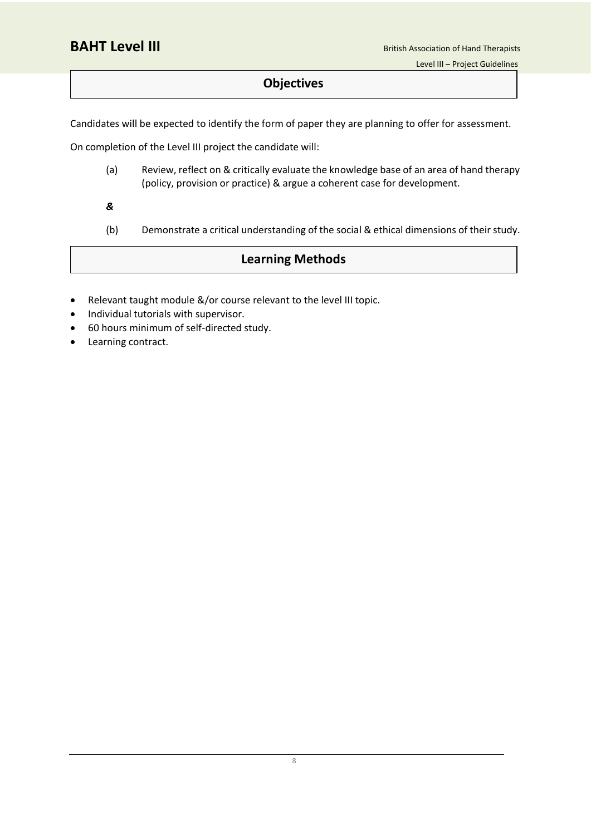## **BAHT Level III** BRIT ALCONDUCT AND RELATED A BRITISH Association of Hand Therapists

## **Objectives**

Candidates will be expected to identify the form of paper they are planning to offer for assessment.

On completion of the Level III project the candidate will:

(a) Review, reflect on & critically evaluate the knowledge base of an area of hand therapy (policy, provision or practice) & argue a coherent case for development.

### *&*

(b) Demonstrate a critical understanding of the social & ethical dimensions of their study.

## **Learning Methods**

- Relevant taught module &/or course relevant to the level III topic.
- Individual tutorials with supervisor.
- 60 hours minimum of self-directed study.
- Learning contract.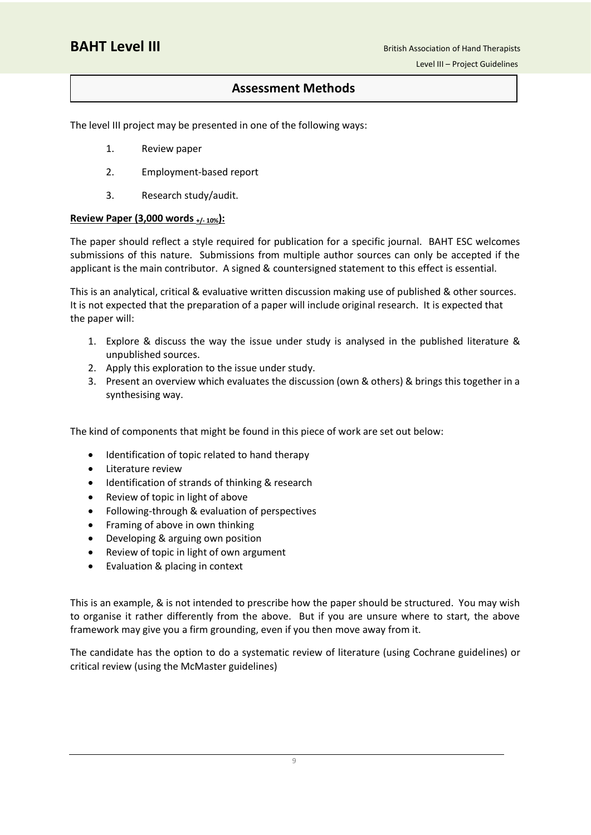## **Assessment Methods**

The level III project may be presented in one of the following ways:

- 1. Review paper
- 2. Employment-based report
- 3. Research study/audit.

#### **Review Paper (3,000 words +/- 10%):**

The paper should reflect a style required for publication for a specific journal. BAHT ESC welcomes submissions of this nature. Submissions from multiple author sources can only be accepted if the applicant is the main contributor. A signed & countersigned statement to this effect is essential.

This is an analytical, critical & evaluative written discussion making use of published & other sources. It is not expected that the preparation of a paper will include original research. It is expected that the paper will:

- 1. Explore & discuss the way the issue under study is analysed in the published literature & unpublished sources.
- 2. Apply this exploration to the issue under study.
- 3. Present an overview which evaluates the discussion (own & others) & brings this together in a synthesising way.

The kind of components that might be found in this piece of work are set out below:

- Identification of topic related to hand therapy
- Literature review
- Identification of strands of thinking & research
- Review of topic in light of above
- Following-through & evaluation of perspectives
- Framing of above in own thinking
- Developing & arguing own position
- Review of topic in light of own argument
- Evaluation & placing in context

This is an example, & is not intended to prescribe how the paper should be structured. You may wish to organise it rather differently from the above. But if you are unsure where to start, the above framework may give you a firm grounding, even if you then move away from it.

The candidate has the option to do a systematic review of literature (using Cochrane guidelines) or critical review (using the McMaster guidelines)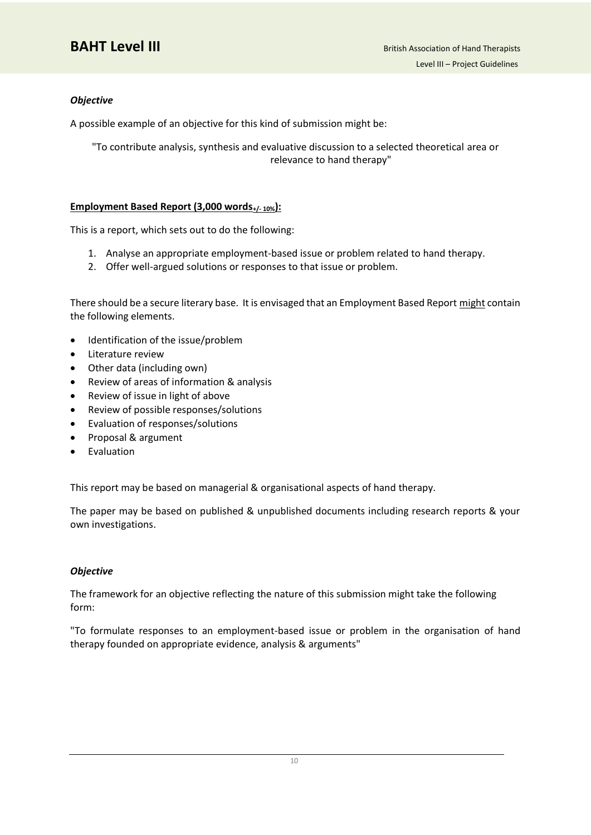### *Objective*

A possible example of an objective for this kind of submission might be:

"To contribute analysis, synthesis and evaluative discussion to a selected theoretical area or relevance to hand therapy"

#### **Employment Based Report (3,000 words+/- 10%):**

This is a report, which sets out to do the following:

- 1. Analyse an appropriate employment-based issue or problem related to hand therapy.
- 2. Offer well-argued solutions or responses to that issue or problem.

There should be a secure literary base. It is envisaged that an Employment Based Report might contain the following elements.

- Identification of the issue/problem
- Literature review
- Other data (including own)
- Review of areas of information & analysis
- Review of issue in light of above
- Review of possible responses/solutions
- Evaluation of responses/solutions
- Proposal & argument
- Evaluation

This report may be based on managerial & organisational aspects of hand therapy.

The paper may be based on published & unpublished documents including research reports & your own investigations.

#### *Objective*

The framework for an objective reflecting the nature of this submission might take the following form:

"To formulate responses to an employment-based issue or problem in the organisation of hand therapy founded on appropriate evidence, analysis & arguments"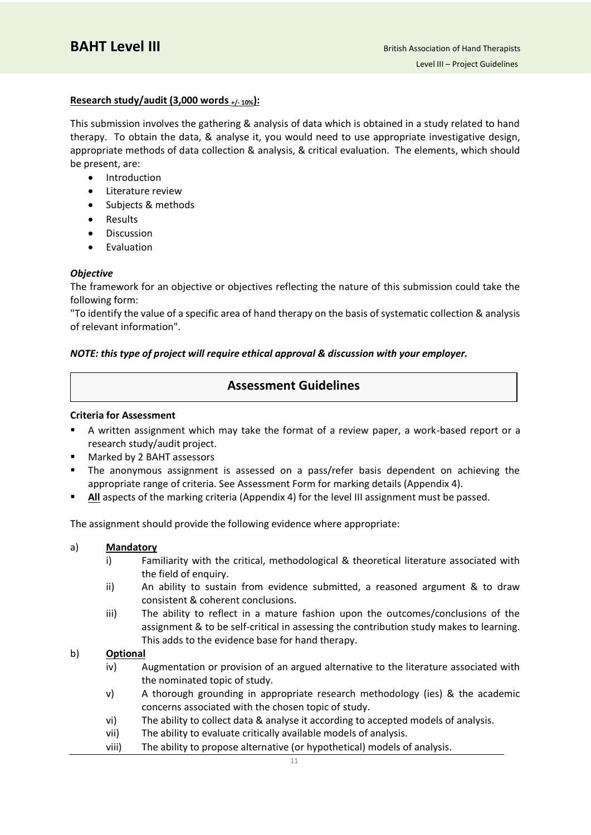#### **Research study/audit (3,000 words +/- 10%):**

This submission involves the gathering & analysis of data which is obtained in a study related to hand therapy. To obtain the data, & analyse it, you would need to use appropriate investigative design, appropriate methods of data collection & analysis, & critical evaluation. The elements, which should be present, are:

- Introduction
- Literature review
- Subjects & methods
- Results
- Discussion
- Evaluation

#### *Objective*

The framework for an objective or objectives reflecting the nature of this submission could take the following form:

"To identify the value of a specific area of hand therapy on the basis of systematic collection & analysis of relevant information".

#### *NOTE: this type of project will require ethical approval & discussion with your employer.*

## **Assessment Guidelines**

#### **Criteria for Assessment**

- A written assignment which may take the format of a review paper, a work-based report or a research study/audit project.
- Marked by 2 BAHT assessors
- The anonymous assignment is assessed on a pass/refer basis dependent on achieving the appropriate range of criteria. See Assessment Form for marking details (Appendix 4).
- All aspects of the marking criteria (Appendix 4) for the level III assignment must be passed.

The assignment should provide the following evidence where appropriate:

#### a) **Mandatory**

- i) Familiarity with the critical, methodological & theoretical literature associated with the field of enquiry.
- ii) An ability to sustain from evidence submitted, a reasoned argument & to draw consistent & coherent conclusions.
- iii) The ability to reflect in a mature fashion upon the outcomes/conclusions of the assignment & to be self-critical in assessing the contribution study makes to learning. This adds to the evidence base for hand therapy.

#### b) **Optional**

- iv) Augmentation or provision of an argued alternative to the literature associated with the nominated topic of study.
- v) A thorough grounding in appropriate research methodology (ies) & the academic concerns associated with the chosen topic of study.
- vi) The ability to collect data & analyse it according to accepted models of analysis.
- vii) The ability to evaluate critically available models of analysis.
- viii) The ability to propose alternative (or hypothetical) models of analysis.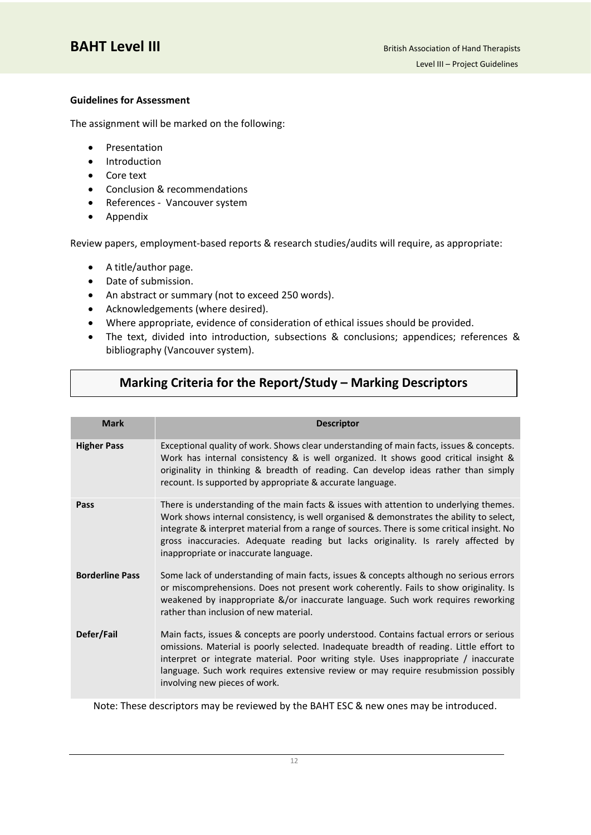#### **Guidelines for Assessment**

The assignment will be marked on the following:

- Presentation
- Introduction
- Core text
- Conclusion & recommendations
- References Vancouver system
- Appendix

Review papers, employment-based reports & research studies/audits will require, as appropriate:

- A title/author page.
- Date of submission.
- An abstract or summary (not to exceed 250 words).
- Acknowledgements (where desired).
- Where appropriate, evidence of consideration of ethical issues should be provided.
- The text, divided into introduction, subsections & conclusions; appendices; references & bibliography (Vancouver system).

## **Marking Criteria for the Report/Study – Marking Descriptors**

| <b>Mark</b>            | <b>Descriptor</b>                                                                                                                                                                                                                                                                                                                                                                                              |
|------------------------|----------------------------------------------------------------------------------------------------------------------------------------------------------------------------------------------------------------------------------------------------------------------------------------------------------------------------------------------------------------------------------------------------------------|
| <b>Higher Pass</b>     | Exceptional quality of work. Shows clear understanding of main facts, issues & concepts.<br>Work has internal consistency & is well organized. It shows good critical insight &<br>originality in thinking & breadth of reading. Can develop ideas rather than simply<br>recount. Is supported by appropriate & accurate language.                                                                             |
| Pass                   | There is understanding of the main facts & issues with attention to underlying themes.<br>Work shows internal consistency, is well organised & demonstrates the ability to select,<br>integrate & interpret material from a range of sources. There is some critical insight. No<br>gross inaccuracies. Adequate reading but lacks originality. Is rarely affected by<br>inappropriate or inaccurate language. |
| <b>Borderline Pass</b> | Some lack of understanding of main facts, issues & concepts although no serious errors<br>or miscomprehensions. Does not present work coherently. Fails to show originality. Is<br>weakened by inappropriate &/or inaccurate language. Such work requires reworking<br>rather than inclusion of new material.                                                                                                  |
| Defer/Fail             | Main facts, issues & concepts are poorly understood. Contains factual errors or serious<br>omissions. Material is poorly selected. Inadequate breadth of reading. Little effort to<br>interpret or integrate material. Poor writing style. Uses inappropriate / inaccurate<br>language. Such work requires extensive review or may require resubmission possibly<br>involving new pieces of work.              |

Note: These descriptors may be reviewed by the BAHT ESC & new ones may be introduced.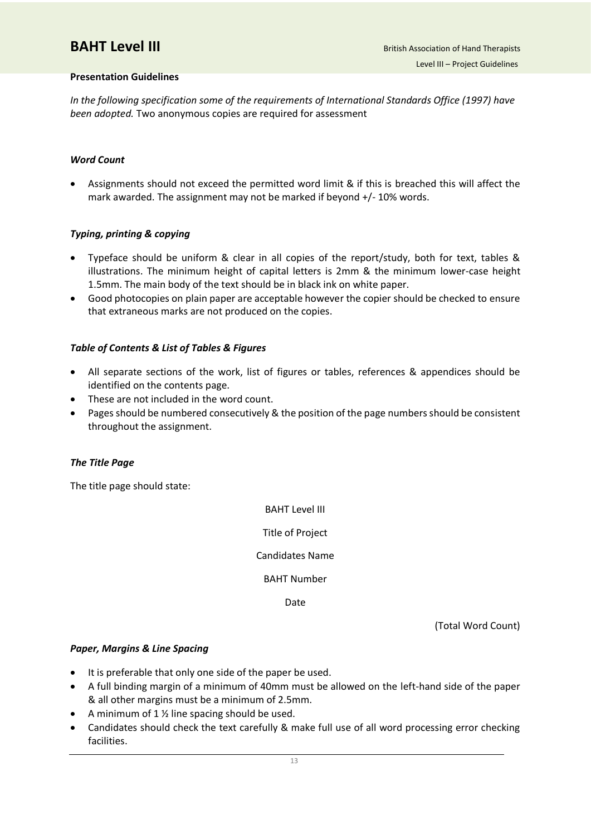#### **Presentation Guidelines**

*In the following specification some of the requirements of International Standards Office (1997) have been adopted.* Two anonymous copies are required for assessment

#### *Word Count*

• Assignments should not exceed the permitted word limit & if this is breached this will affect the mark awarded. The assignment may not be marked if beyond +/- 10% words.

#### *Typing, printing & copying*

- Typeface should be uniform & clear in all copies of the report/study, both for text, tables & illustrations. The minimum height of capital letters is 2mm & the minimum lower-case height 1.5mm. The main body of the text should be in black ink on white paper.
- Good photocopies on plain paper are acceptable however the copier should be checked to ensure that extraneous marks are not produced on the copies.

#### *Table of Contents & List of Tables & Figures*

- All separate sections of the work, list of figures or tables, references & appendices should be identified on the contents page.
- These are not included in the word count.
- Pages should be numbered consecutively & the position of the page numbers should be consistent throughout the assignment.

#### *The Title Page*

The title page should state:

BAHT Level III

Title of Project

Candidates Name

BAHT Number

Date

(Total Word Count)

#### *Paper, Margins & Line Spacing*

- It is preferable that only one side of the paper be used.
- A full binding margin of a minimum of 40mm must be allowed on the left-hand side of the paper & all other margins must be a minimum of 2.5mm.
- A minimum of  $1 \frac{1}{2}$  line spacing should be used.
- Candidates should check the text carefully & make full use of all word processing error checking facilities.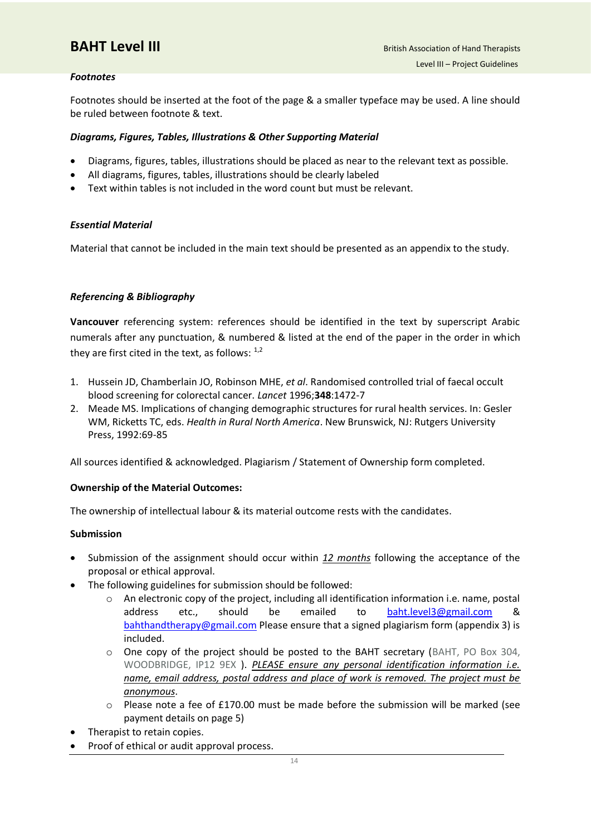#### *Footnotes*

Footnotes should be inserted at the foot of the page & a smaller typeface may be used. A line should be ruled between footnote & text.

#### *Diagrams, Figures, Tables, Illustrations & Other Supporting Material*

- Diagrams, figures, tables, illustrations should be placed as near to the relevant text as possible.
- All diagrams, figures, tables, illustrations should be clearly labeled
- Text within tables is not included in the word count but must be relevant.

#### *Essential Material*

Material that cannot be included in the main text should be presented as an appendix to the study.

#### *Referencing & Bibliography*

**Vancouver** referencing system: references should be identified in the text by superscript Arabic numerals after any punctuation, & numbered & listed at the end of the paper in the order in which they are first cited in the text, as follows:  $1,2$ 

- 1. Hussein JD, Chamberlain JO, Robinson MHE, *et al*. Randomised controlled trial of faecal occult blood screening for colorectal cancer. *Lancet* 1996;**348**:1472-7
- 2. Meade MS. Implications of changing demographic structures for rural health services. In: Gesler WM, Ricketts TC, eds. *Health in Rural North America*. New Brunswick, NJ: Rutgers University Press, 1992:69-85

All sources identified & acknowledged. Plagiarism / Statement of Ownership form completed.

#### **Ownership of the Material Outcomes:**

The ownership of intellectual labour & its material outcome rests with the candidates.

#### **Submission**

- Submission of the assignment should occur within *12 months* following the acceptance of the proposal or ethical approval.
- The following guidelines for submission should be followed:
	- $\circ$  An electronic copy of the project, including all identification information i.e. name, postal address etc., should be emailed to [baht.level3@gmail.com](mailto:handtherapy@sky.com) & [bahthandtherapy@gmail.com](mailto:bahthandtherapy@gmail.com) Please ensure that a signed plagiarism form (appendix 3) is included.
	- o One copy of the project should be posted to the BAHT secretary (BAHT, PO Box 304, WOODBRIDGE, IP12 9EX ). *PLEASE ensure any personal identification information i.e. name, email address, postal address and place of work is removed. The project must be anonymous*.
	- $\circ$  Please note a fee of £170.00 must be made before the submission will be marked (see payment details on page 5)
- Therapist to retain copies.
- Proof of ethical or audit approval process.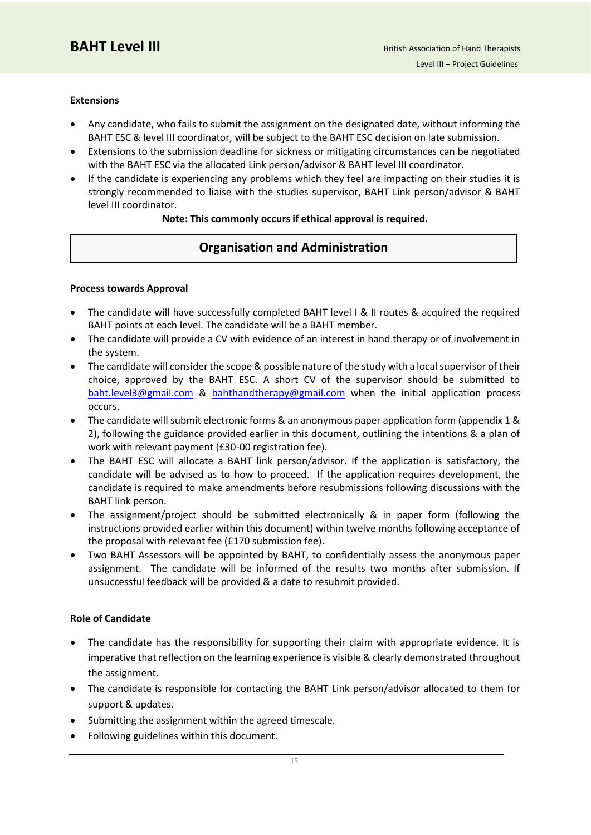#### **Extensions**

- Any candidate, who fails to submit the assignment on the designated date, without informing the BAHT ESC & level III coordinator, will be subject to the BAHT ESC decision on late submission.
- Extensions to the submission deadline for sickness or mitigating circumstances can be negotiated with the BAHT ESC via the allocated Link person/advisor & BAHT level III coordinator.
- If the candidate is experiencing any problems which they feel are impacting on their studies it is strongly recommended to liaise with the studies supervisor, BAHT Link person/advisor & BAHT level III coordinator.

#### **Note: This commonly occurs if ethical approval is required.**

## **Organisation and Administration**

#### **Process towards Approval**

- The candidate will have successfully completed BAHT level I & II routes & acquired the required BAHT points at each level. The candidate will be a BAHT member.
- The candidate will provide a CV with evidence of an interest in hand therapy or of involvement in the system.
- The candidate will consider the scope & possible nature of the study with a local supervisor of their choice, approved by the BAHT ESC. A short CV of the supervisor should be submitted to [baht.level3@gmail.com](mailto:handtherapy@sky.com) & [bahthandtherapy@gmail.com](mailto:bahthandtherapy@gmail.com) when the initial application process occurs.
- The candidate will submit electronic forms & an anonymous paper application form (appendix 1 & 2), following the guidance provided earlier in this document, outlining the intentions & a plan of work with relevant payment (£30-00 registration fee).
- The BAHT ESC will allocate a BAHT link person/advisor. If the application is satisfactory, the candidate will be advised as to how to proceed. If the application requires development, the candidate is required to make amendments before resubmissions following discussions with the BAHT link person.
- The assignment/project should be submitted electronically & in paper form (following the instructions provided earlier within this document) within twelve months following acceptance of the proposal with relevant fee (£170 submission fee).
- Two BAHT Assessors will be appointed by BAHT, to confidentially assess the anonymous paper assignment. The candidate will be informed of the results two months after submission. If unsuccessful feedback will be provided & a date to resubmit provided.

#### **Role of Candidate**

- The candidate has the responsibility for supporting their claim with appropriate evidence. It is imperative that reflection on the learning experience is visible & clearly demonstrated throughout the assignment.
- The candidate is responsible for contacting the BAHT Link person/advisor allocated to them for support & updates.
- Submitting the assignment within the agreed timescale.
- Following guidelines within this document.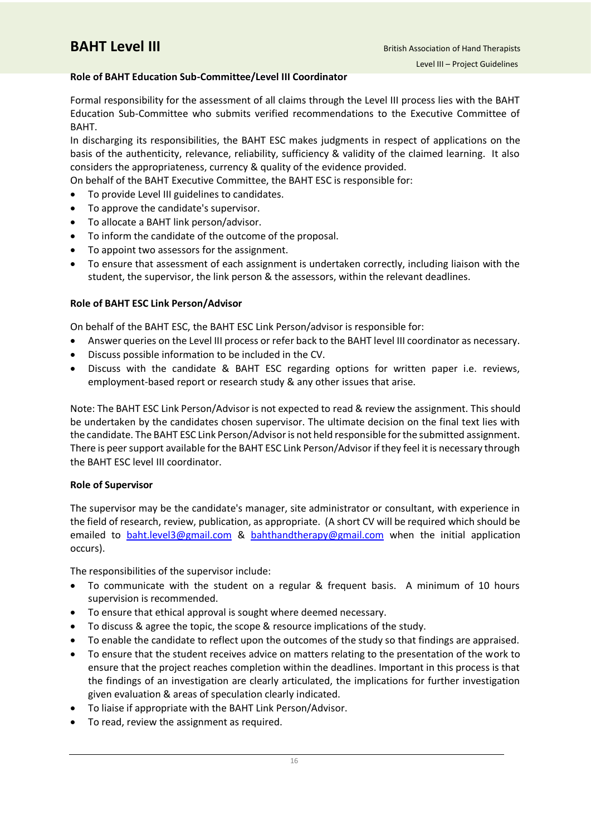### **Role of BAHT Education Sub-Committee/Level III Coordinator**

Formal responsibility for the assessment of all claims through the Level III process lies with the BAHT Education Sub-Committee who submits verified recommendations to the Executive Committee of BAHT.

In discharging its responsibilities, the BAHT ESC makes judgments in respect of applications on the basis of the authenticity, relevance, reliability, sufficiency & validity of the claimed learning. It also considers the appropriateness, currency & quality of the evidence provided.

On behalf of the BAHT Executive Committee, the BAHT ESC is responsible for:

- To provide Level III guidelines to candidates.
- To approve the candidate's supervisor.
- To allocate a BAHT link person/advisor.
- To inform the candidate of the outcome of the proposal.
- To appoint two assessors for the assignment.
- To ensure that assessment of each assignment is undertaken correctly, including liaison with the student, the supervisor, the link person & the assessors, within the relevant deadlines.

#### **Role of BAHT ESC Link Person/Advisor**

On behalf of the BAHT ESC, the BAHT ESC Link Person/advisor is responsible for:

- Answer queries on the Level III process or refer back to the BAHT level III coordinator as necessary.
- Discuss possible information to be included in the CV.
- Discuss with the candidate & BAHT ESC regarding options for written paper i.e. reviews, employment-based report or research study & any other issues that arise.

Note: The BAHT ESC Link Person/Advisor is not expected to read & review the assignment. This should be undertaken by the candidates chosen supervisor. The ultimate decision on the final text lies with the candidate. The BAHT ESC Link Person/Advisor is not held responsible for the submitted assignment. There is peer support available for the BAHT ESC Link Person/Advisor if they feel it is necessary through the BAHT ESC level III coordinator.

#### **Role of Supervisor**

The supervisor may be the candidate's manager, site administrator or consultant, with experience in the field of research, review, publication, as appropriate. (A short CV will be required which should be emailed to **[baht.level3@gmail.com](mailto:handtherapy@sky.com) & [bahthandtherapy@gmail.com](mailto:bahthandtherapy@gmail.com)** when the initial application occurs).

The responsibilities of the supervisor include:

- To communicate with the student on a regular & frequent basis. A minimum of 10 hours supervision is recommended.
- To ensure that ethical approval is sought where deemed necessary.
- To discuss & agree the topic, the scope & resource implications of the study.
- To enable the candidate to reflect upon the outcomes of the study so that findings are appraised.
- To ensure that the student receives advice on matters relating to the presentation of the work to ensure that the project reaches completion within the deadlines. Important in this process is that the findings of an investigation are clearly articulated, the implications for further investigation given evaluation & areas of speculation clearly indicated.
- To liaise if appropriate with the BAHT Link Person/Advisor.
- To read, review the assignment as required.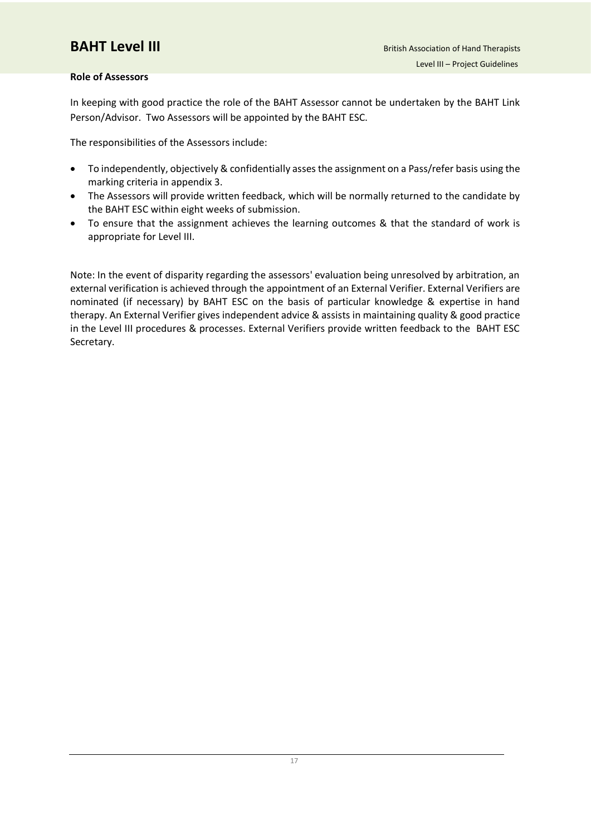#### **Role of Assessors**

In keeping with good practice the role of the BAHT Assessor cannot be undertaken by the BAHT Link Person/Advisor. Two Assessors will be appointed by the BAHT ESC.

The responsibilities of the Assessors include:

- To independently, objectively & confidentially asses the assignment on a Pass/refer basis using the marking criteria in appendix 3.
- The Assessors will provide written feedback, which will be normally returned to the candidate by the BAHT ESC within eight weeks of submission.
- To ensure that the assignment achieves the learning outcomes & that the standard of work is appropriate for Level III.

Note: In the event of disparity regarding the assessors' evaluation being unresolved by arbitration, an external verification is achieved through the appointment of an External Verifier. External Verifiers are nominated (if necessary) by BAHT ESC on the basis of particular knowledge & expertise in hand therapy. An External Verifier gives independent advice & assists in maintaining quality & good practice in the Level III procedures & processes. External Verifiers provide written feedback to the BAHT ESC Secretary.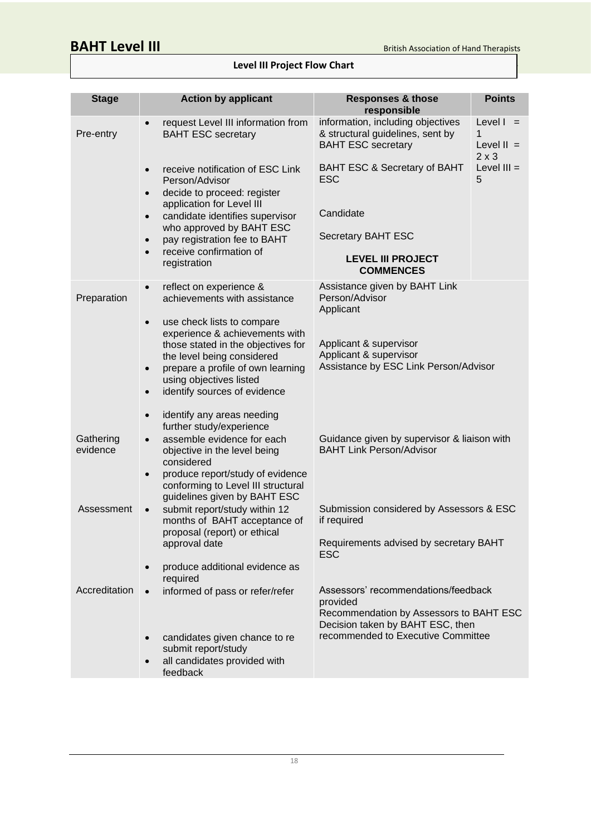Level III – Project Guidelines

#### **Level III Project Flow Chart**

| <b>Stage</b>  | <b>Action by applicant</b>                                                                                                               | <b>Responses &amp; those</b><br>responsible                                                                                    | <b>Points</b>                                    |
|---------------|------------------------------------------------------------------------------------------------------------------------------------------|--------------------------------------------------------------------------------------------------------------------------------|--------------------------------------------------|
| Pre-entry     | request Level III information from<br>$\bullet$<br><b>BAHT ESC secretary</b>                                                             | information, including objectives<br>& structural guidelines, sent by<br><b>BAHT ESC secretary</b>                             | Level $I =$<br>1<br>Level $II =$<br>$2 \times 3$ |
|               | receive notification of ESC Link<br>$\bullet$<br>Person/Advisor<br>decide to proceed: register<br>$\bullet$<br>application for Level III | BAHT ESC & Secretary of BAHT<br><b>ESC</b>                                                                                     | Level $III =$<br>5                               |
|               | candidate identifies supervisor<br>$\bullet$<br>who approved by BAHT ESC                                                                 | Candidate                                                                                                                      |                                                  |
|               | pay registration fee to BAHT<br>$\bullet$<br>receive confirmation of                                                                     | Secretary BAHT ESC<br><b>LEVEL III PROJECT</b>                                                                                 |                                                  |
|               | registration                                                                                                                             | <b>COMMENCES</b>                                                                                                               |                                                  |
| Preparation   | reflect on experience &<br>$\bullet$<br>achievements with assistance                                                                     | Assistance given by BAHT Link<br>Person/Advisor<br>Applicant                                                                   |                                                  |
|               | use check lists to compare<br>$\bullet$<br>experience & achievements with                                                                |                                                                                                                                |                                                  |
|               | those stated in the objectives for<br>the level being considered                                                                         | Applicant & supervisor<br>Applicant & supervisor                                                                               |                                                  |
|               | prepare a profile of own learning<br>$\bullet$<br>using objectives listed<br>identify sources of evidence<br>$\bullet$                   | Assistance by ESC Link Person/Advisor                                                                                          |                                                  |
|               | identify any areas needing<br>$\bullet$                                                                                                  |                                                                                                                                |                                                  |
| Gathering     | further study/experience<br>assemble evidence for each<br>$\bullet$                                                                      | Guidance given by supervisor & liaison with                                                                                    |                                                  |
| evidence      | objective in the level being<br>considered                                                                                               | <b>BAHT Link Person/Advisor</b>                                                                                                |                                                  |
|               | produce report/study of evidence<br>$\bullet$<br>conforming to Level III structural<br>guidelines given by BAHT ESC                      |                                                                                                                                |                                                  |
| Assessment    | submit report/study within 12<br>$\bullet$<br>months of BAHT acceptance of                                                               | Submission considered by Assessors & ESC<br>if required                                                                        |                                                  |
|               | proposal (report) or ethical<br>approval date                                                                                            | Requirements advised by secretary BAHT<br><b>ESC</b>                                                                           |                                                  |
|               | produce additional evidence as<br>$\bullet$<br>required                                                                                  |                                                                                                                                |                                                  |
| Accreditation | informed of pass or refer/refer<br>$\bullet$                                                                                             | Assessors' recommendations/feedback<br>provided<br>Recommendation by Assessors to BAHT ESC<br>Decision taken by BAHT ESC, then |                                                  |
|               | candidates given chance to re<br>$\bullet$<br>submit report/study<br>all candidates provided with<br>$\bullet$                           | recommended to Executive Committee                                                                                             |                                                  |
|               | feedback                                                                                                                                 |                                                                                                                                |                                                  |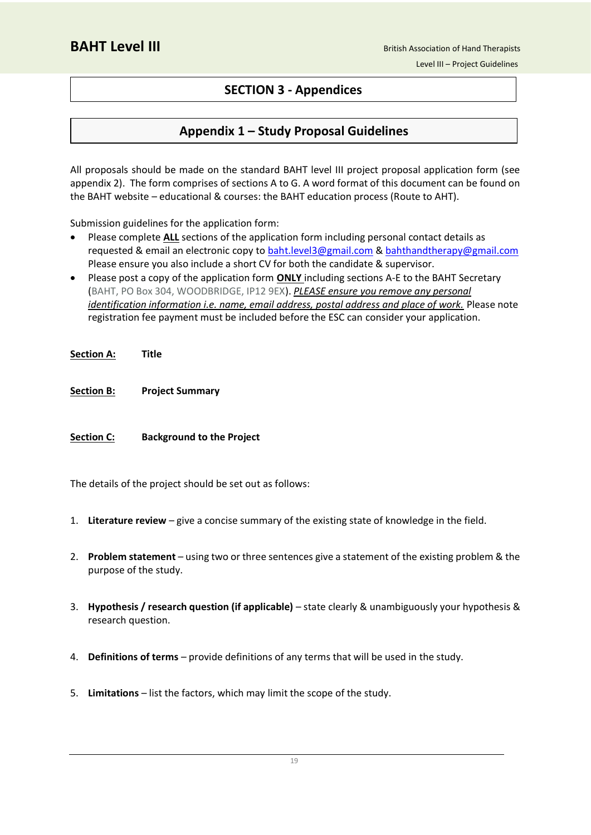## **SECTION 3 - Appendices**

## **Appendix 1 – Study Proposal Guidelines**

All proposals should be made on the standard BAHT level III project proposal application form (see appendix 2). The form comprises of sections A to G. A word format of this document can be found on the BAHT website – educational & courses: the BAHT education process (Route to AHT).

Submission guidelines for the application form:

- Please complete **ALL** sections of the application form including personal contact details as requested & email an electronic copy to [baht.level3@gmail.com](mailto:handtherapy@sky.com) [& bahthandtherapy@gmail.com](mailto:bahthandtherapy@gmail.com) Please ensure you also include a short CV for both the candidate & supervisor.
- Please post a copy of the application form **ONLY** including sections A-E to the BAHT Secretary (BAHT, PO Box 304, WOODBRIDGE, IP12 9EX). *PLEASE ensure you remove any personal identification information i.e. name, email address, postal address and place of work.* Please note registration fee payment must be included before the ESC can consider your application.

**Section A: Title**

**Section B: Project Summary**

### **Section C: Background to the Project**

The details of the project should be set out as follows:

- 1. **Literature review** give a concise summary of the existing state of knowledge in the field.
- 2. **Problem statement** using two or three sentences give a statement of the existing problem & the purpose of the study.
- 3. **Hypothesis / research question (if applicable)** state clearly & unambiguously your hypothesis & research question.
- 4. **Definitions of terms** provide definitions of any terms that will be used in the study.
- 5. **Limitations** list the factors, which may limit the scope of the study.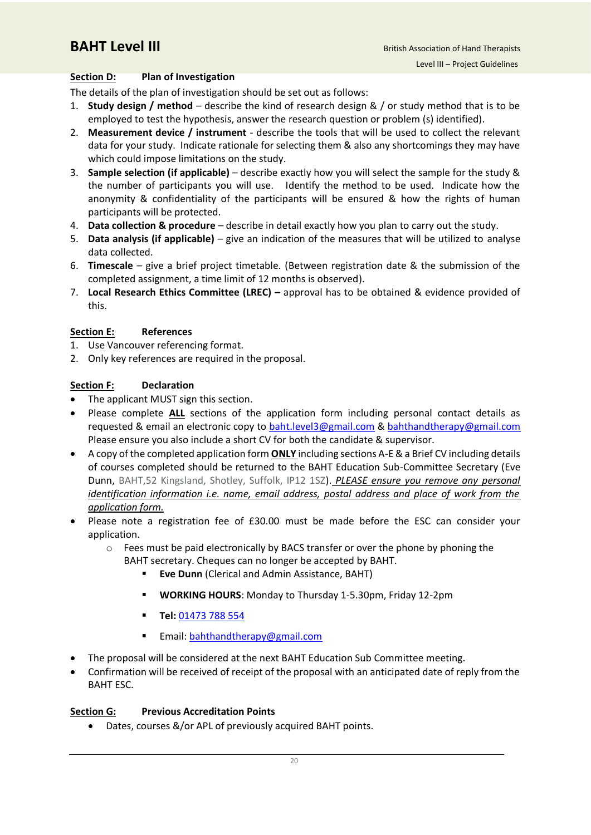### **Section D: Plan of Investigation**

The details of the plan of investigation should be set out as follows:

- 1. **Study design / method** describe the kind of research design & / or study method that is to be employed to test the hypothesis, answer the research question or problem (s) identified).
- 2. **Measurement device / instrument**  describe the tools that will be used to collect the relevant data for your study. Indicate rationale for selecting them & also any shortcomings they may have which could impose limitations on the study.
- 3. **Sample selection (if applicable)** describe exactly how you will select the sample for the study & the number of participants you will use. Identify the method to be used. Indicate how the anonymity & confidentiality of the participants will be ensured & how the rights of human participants will be protected.
- 4. **Data collection & procedure** describe in detail exactly how you plan to carry out the study.
- 5. **Data analysis (if applicable)** give an indication of the measures that will be utilized to analyse data collected.
- 6. **Timescale** give a brief project timetable. (Between registration date & the submission of the completed assignment, a time limit of 12 months is observed).
- 7. **Local Research Ethics Committee (LREC) –** approval has to be obtained & evidence provided of this.

### **Section E: References**

- 1. Use Vancouver referencing format.
- 2. Only key references are required in the proposal.

### **Section F: Declaration**

- The applicant MUST sign this section.
- Please complete **ALL** sections of the application form including personal contact details as requested & email an electronic copy to [baht.level3@gmail.com](mailto:handtherapy@sky.com) & [bahthandtherapy@gmail.com](mailto:bahthandtherapy@gmail.com) Please ensure you also include a short CV for both the candidate & supervisor.
- A copy of the completed application form **ONLY** including sections A-E & a Brief CV including details of courses completed should be returned to the BAHT Education Sub-Committee Secretary (Eve Dunn, BAHT,52 Kingsland, Shotley, Suffolk, IP12 1SZ). *PLEASE ensure you remove any personal identification information i.e. name, email address, postal address and place of work from the application form.*
- Please note a registration fee of £30.00 must be made before the ESC can consider your application.
	- $\circ$  Fees must be paid electronically by BACS transfer or over the phone by phoning the BAHT secretary. Cheques can no longer be accepted by BAHT.
		- **Eve Dunn** (Clerical and Admin Assistance, BAHT)
		- **WORKING HOURS**: Monday to Thursday 1-5.30pm, Friday 12-2pm
		- **Tel:** [01473](tel:01394610131) 788 554
		- **Email: [bahthandtherapy@gmail.com](mailto:bahthandtherapy@gmail.com)**
- The proposal will be considered at the next BAHT Education Sub Committee meeting.
- Confirmation will be received of receipt of the proposal with an anticipated date of reply from the BAHT ESC.

#### **Section G: Previous Accreditation Points**

• Dates, courses &/or APL of previously acquired BAHT points.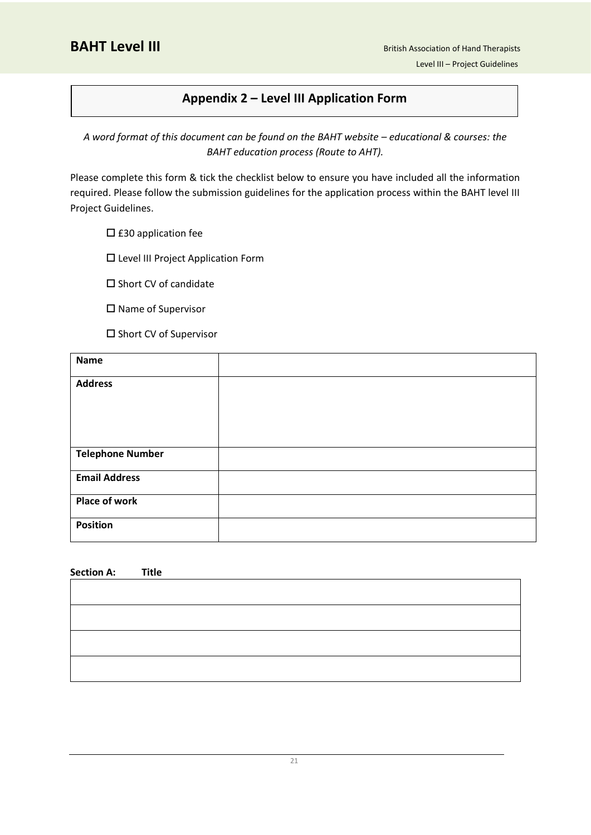## **Appendix 2 – Level III Application Form**

*A word format of this document can be found on the BAHT website – educational & courses: the BAHT education process (Route to AHT).*

Please complete this form & tick the checklist below to ensure you have included all the information required. Please follow the submission guidelines for the application process within the BAHT level III Project Guidelines.

 $\Box$  £30 application fee

□ Level III Project Application Form

 $\square$  Short CV of candidate

 $\square$  Name of Supervisor

 $\square$  Short CV of Supervisor

| <b>Name</b>             |  |
|-------------------------|--|
| <b>Address</b>          |  |
|                         |  |
|                         |  |
| <b>Telephone Number</b> |  |
| <b>Email Address</b>    |  |
| <b>Place of work</b>    |  |
| <b>Position</b>         |  |

#### **Section A: Title**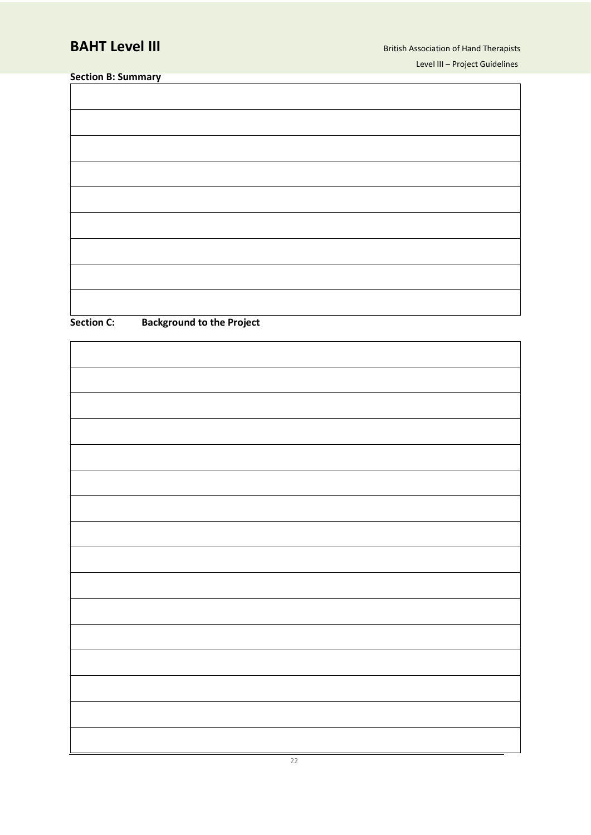**BAHT Level III** BRIT ASSOCIATION OF Hand Therapists

Level III – Project Guidelines

 $\overline{\phantom{0}}$ 

# **Section B: Summary**

## **Section C: Background to the Project**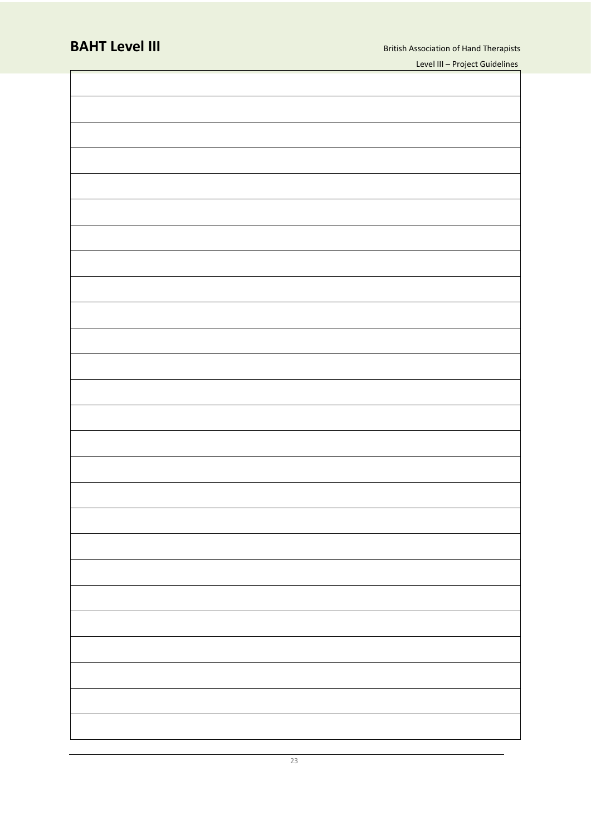Level III – Project Guidelines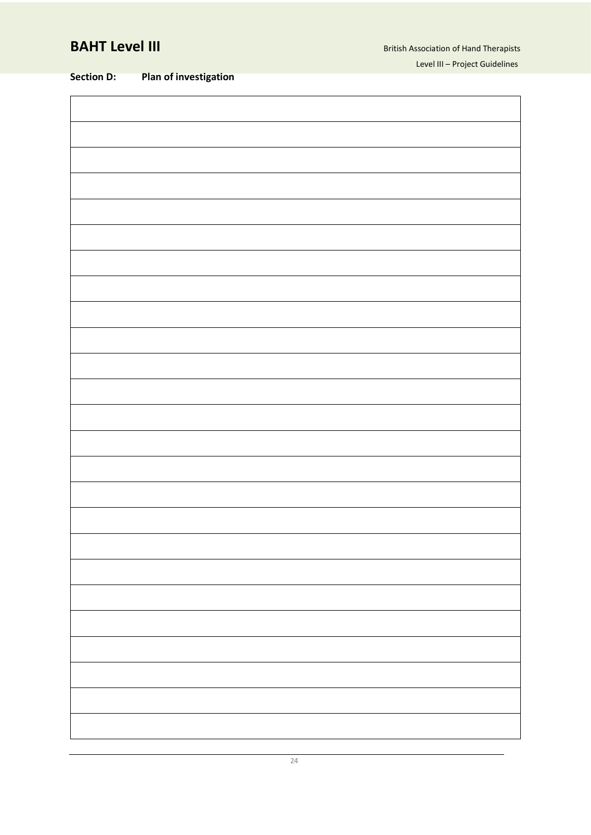# **BAHT Level III** BRIT ASSOCIATION OF Hand Therapists

**Section D: Plan of investigation**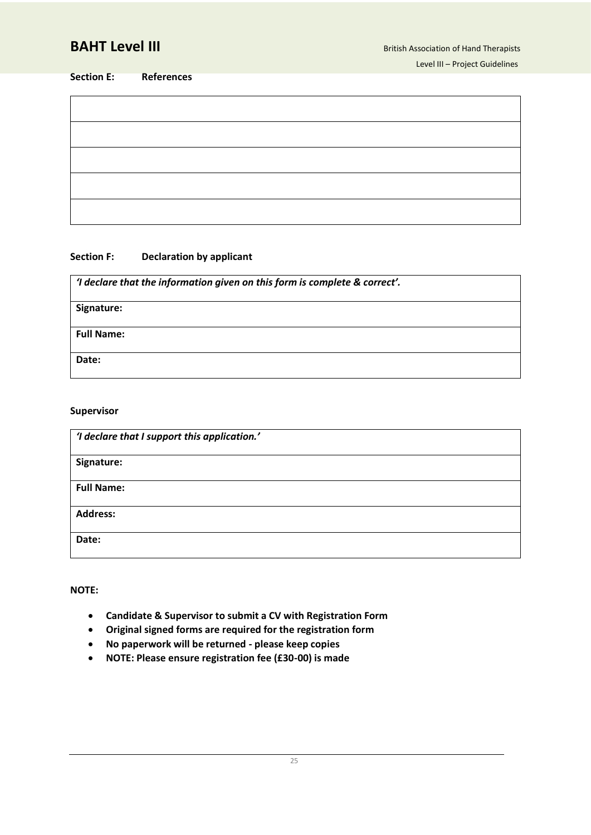## **BAHT Level III** BRIT BRITISH Association of Hand Therapists

## **Section E: References**

#### **Section F: Declaration by applicant**

| 'I declare that the information given on this form is complete & correct'. |  |
|----------------------------------------------------------------------------|--|
| Signature:                                                                 |  |
| <b>Full Name:</b>                                                          |  |
| Date:                                                                      |  |

#### **Supervisor**

| 'I declare that I support this application.' |  |
|----------------------------------------------|--|
| Signature:                                   |  |
| <b>Full Name:</b>                            |  |
| <b>Address:</b>                              |  |
| Date:                                        |  |

#### **NOTE:**

- **Candidate & Supervisor to submit a CV with Registration Form**
- **Original signed forms are required for the registration form**
- **No paperwork will be returned - please keep copies**
- **NOTE: Please ensure registration fee (£30-00) is made**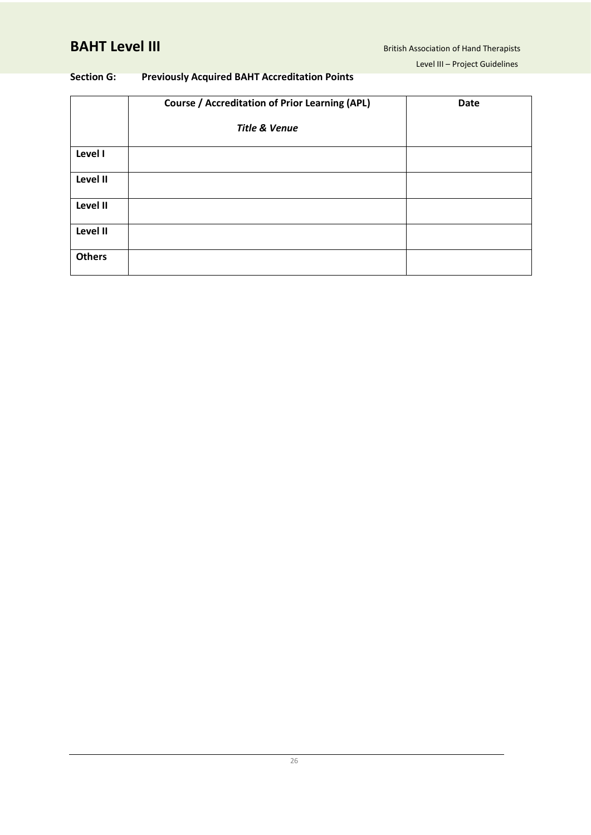# **BAHT Level III** BRIT ASSOCIATION OF Hand Therapists

Level III – Project Guidelines

## **Section G: Previously Acquired BAHT Accreditation Points**

|               | <b>Course / Accreditation of Prior Learning (APL)</b> | <b>Date</b> |
|---------------|-------------------------------------------------------|-------------|
|               | <b>Title &amp; Venue</b>                              |             |
| Level I       |                                                       |             |
| Level II      |                                                       |             |
| Level II      |                                                       |             |
| Level II      |                                                       |             |
| <b>Others</b> |                                                       |             |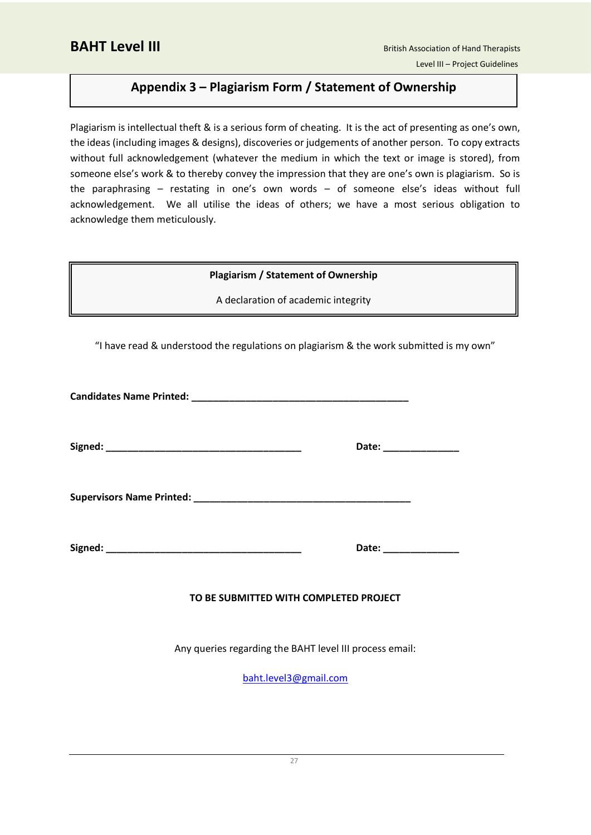## **Appendix 3 – Plagiarism Form / Statement of Ownership**

Plagiarism is intellectual theft & is a serious form of cheating. It is the act of presenting as one's own, the ideas (including images & designs), discoveries or judgements of another person. To copy extracts without full acknowledgement (whatever the medium in which the text or image is stored), from someone else's work & to thereby convey the impression that they are one's own is plagiarism. So is the paraphrasing – restating in one's own words – of someone else's ideas without full acknowledgement. We all utilise the ideas of others; we have a most serious obligation to acknowledge them meticulously.

### **Plagiarism / Statement of Ownership**

A declaration of academic integrity

"I have read & understood the regulations on plagiarism & the work submitted is my own"

**Candidates Name Printed: \_\_\_\_\_\_\_\_\_\_\_\_\_\_\_\_\_\_\_\_\_\_\_\_\_\_\_\_\_\_\_\_\_\_\_\_\_\_\_\_**

**Signed: \_\_\_\_\_\_\_\_\_\_\_\_\_\_\_\_\_\_\_\_\_\_\_\_\_\_\_\_\_\_\_\_\_\_\_\_ Date: \_\_\_\_\_\_\_\_\_\_\_\_\_\_**

**Supervisors Name Printed: \_\_\_\_\_\_\_\_\_\_\_\_\_\_\_\_\_\_\_\_\_\_\_\_\_\_\_\_\_\_\_\_\_\_\_\_\_\_\_\_**

**Signed: \_\_\_\_\_\_\_\_\_\_\_\_\_\_\_\_\_\_\_\_\_\_\_\_\_\_\_\_\_\_\_\_\_\_\_\_ Date: \_\_\_\_\_\_\_\_\_\_\_\_\_\_**

# **TO BE SUBMITTED WITH COMPLETED PROJECT**

Any queries regarding the BAHT level III process email:

[baht.level3@gmail.com](mailto:baht.level3@gmail.com)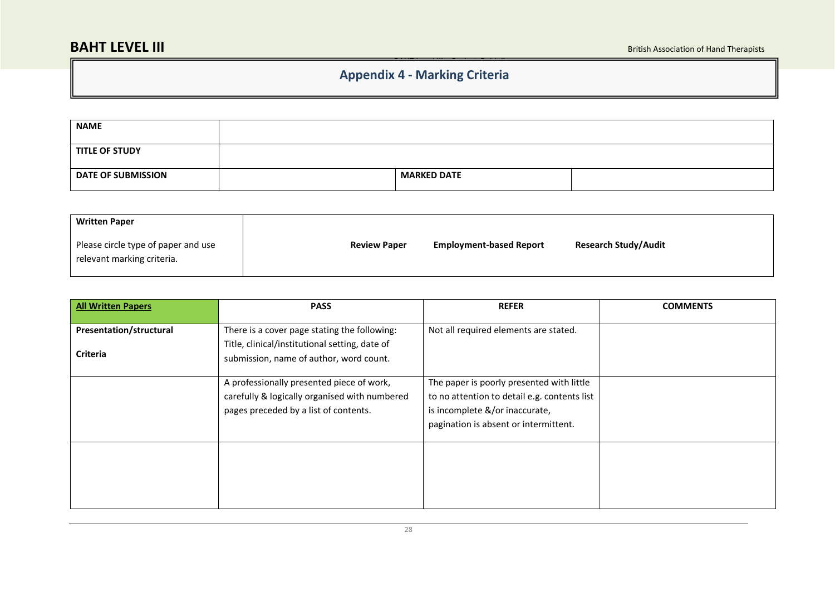## **Appendix 4 - Marking Criteria**

BAHT Level III – Project Guidelines

| <b>NAME</b>           |                    |  |
|-----------------------|--------------------|--|
| <b>TITLE OF STUDY</b> |                    |  |
| DATE OF SUBMISSION    | <b>MARKED DATE</b> |  |

| <b>Written Paper</b>                                              |                     |                                |                             |  |
|-------------------------------------------------------------------|---------------------|--------------------------------|-----------------------------|--|
| Please circle type of paper and use<br>relevant marking criteria. | <b>Review Paper</b> | <b>Employment-based Report</b> | <b>Research Study/Audit</b> |  |

| <b>All Written Papers</b> | <b>PASS</b>                                                                                                                         | <b>REFER</b>                                                                                                                                                         | <b>COMMENTS</b> |
|---------------------------|-------------------------------------------------------------------------------------------------------------------------------------|----------------------------------------------------------------------------------------------------------------------------------------------------------------------|-----------------|
| Presentation/structural   | There is a cover page stating the following:<br>Title, clinical/institutional setting, date of                                      | Not all required elements are stated.                                                                                                                                |                 |
| Criteria                  | submission, name of author, word count.                                                                                             |                                                                                                                                                                      |                 |
|                           | A professionally presented piece of work,<br>carefully & logically organised with numbered<br>pages preceded by a list of contents. | The paper is poorly presented with little<br>to no attention to detail e.g. contents list<br>is incomplete &/or inaccurate,<br>pagination is absent or intermittent. |                 |
|                           |                                                                                                                                     |                                                                                                                                                                      |                 |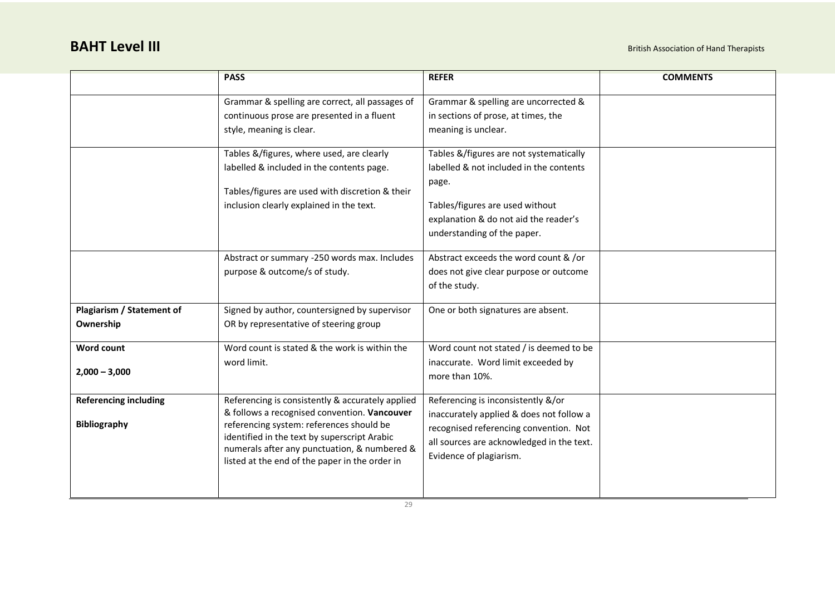|                              | <b>PASS</b>                                                                                    | <b>REFER</b>                              | <b>COMMENTS</b> |
|------------------------------|------------------------------------------------------------------------------------------------|-------------------------------------------|-----------------|
|                              | Grammar & spelling are correct, all passages of                                                | Grammar & spelling are uncorrected &      |                 |
|                              | continuous prose are presented in a fluent                                                     | in sections of prose, at times, the       |                 |
|                              | style, meaning is clear.                                                                       | meaning is unclear.                       |                 |
|                              | Tables &/figures, where used, are clearly                                                      | Tables &/figures are not systematically   |                 |
|                              | labelled & included in the contents page.                                                      | labelled & not included in the contents   |                 |
|                              | Tables/figures are used with discretion & their                                                | page.                                     |                 |
|                              | inclusion clearly explained in the text.                                                       | Tables/figures are used without           |                 |
|                              |                                                                                                | explanation & do not aid the reader's     |                 |
|                              |                                                                                                | understanding of the paper.               |                 |
|                              |                                                                                                |                                           |                 |
|                              | Abstract or summary -250 words max. Includes                                                   | Abstract exceeds the word count & /or     |                 |
|                              | purpose & outcome/s of study.                                                                  | does not give clear purpose or outcome    |                 |
|                              |                                                                                                | of the study.                             |                 |
| Plagiarism / Statement of    | Signed by author, countersigned by supervisor                                                  | One or both signatures are absent.        |                 |
| Ownership                    | OR by representative of steering group                                                         |                                           |                 |
|                              |                                                                                                |                                           |                 |
| Word count                   | Word count is stated & the work is within the                                                  | Word count not stated / is deemed to be   |                 |
| $2,000 - 3,000$              | word limit.                                                                                    | inaccurate. Word limit exceeded by        |                 |
|                              |                                                                                                | more than 10%.                            |                 |
| <b>Referencing including</b> | Referencing is consistently & accurately applied                                               | Referencing is inconsistently &/or        |                 |
|                              | & follows a recognised convention. Vancouver                                                   | inaccurately applied & does not follow a  |                 |
| <b>Bibliography</b>          | referencing system: references should be                                                       | recognised referencing convention. Not    |                 |
|                              | identified in the text by superscript Arabic                                                   | all sources are acknowledged in the text. |                 |
|                              | numerals after any punctuation, & numbered &<br>listed at the end of the paper in the order in | Evidence of plagiarism.                   |                 |
|                              |                                                                                                |                                           |                 |
|                              |                                                                                                |                                           |                 |
|                              |                                                                                                |                                           |                 |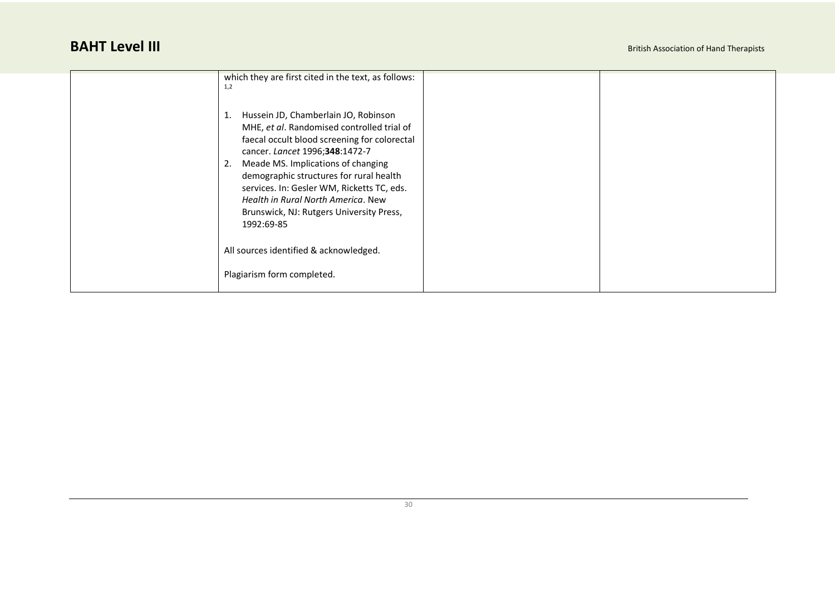| which they are first cited in the text, as follows:<br>1,2<br>Hussein JD, Chamberlain JO, Robinson<br>1.<br>MHE, et al. Randomised controlled trial of<br>faecal occult blood screening for colorectal<br>cancer. Lancet 1996;348:1472-7<br>Meade MS. Implications of changing<br>2.<br>demographic structures for rural health<br>services. In: Gesler WM, Ricketts TC, eds. |  |
|-------------------------------------------------------------------------------------------------------------------------------------------------------------------------------------------------------------------------------------------------------------------------------------------------------------------------------------------------------------------------------|--|
| Health in Rural North America, New<br>Brunswick, NJ: Rutgers University Press,<br>1992:69-85<br>All sources identified & acknowledged.<br>Plagiarism form completed.                                                                                                                                                                                                          |  |
|                                                                                                                                                                                                                                                                                                                                                                               |  |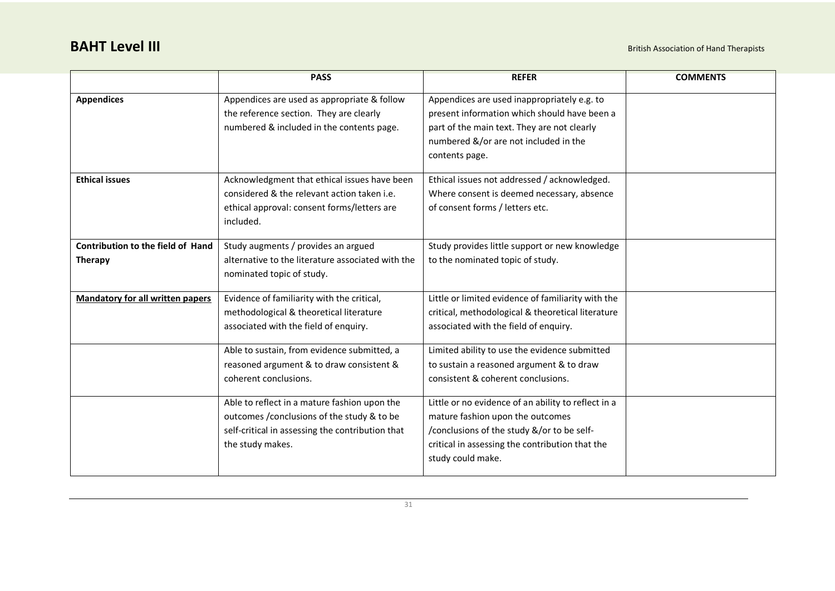|                                                     | <b>PASS</b>                                                                                                                                                         | <b>REFER</b>                                                                                                                                                                                                  | <b>COMMENTS</b> |
|-----------------------------------------------------|---------------------------------------------------------------------------------------------------------------------------------------------------------------------|---------------------------------------------------------------------------------------------------------------------------------------------------------------------------------------------------------------|-----------------|
| <b>Appendices</b>                                   | Appendices are used as appropriate & follow<br>the reference section. They are clearly<br>numbered & included in the contents page.                                 | Appendices are used inappropriately e.g. to<br>present information which should have been a<br>part of the main text. They are not clearly<br>numbered &/or are not included in the<br>contents page.         |                 |
| <b>Ethical issues</b>                               | Acknowledgment that ethical issues have been<br>considered & the relevant action taken <i>i.e.</i><br>ethical approval: consent forms/letters are<br>included.      | Ethical issues not addressed / acknowledged.<br>Where consent is deemed necessary, absence<br>of consent forms / letters etc.                                                                                 |                 |
| Contribution to the field of Hand<br><b>Therapy</b> | Study augments / provides an argued<br>alternative to the literature associated with the<br>nominated topic of study.                                               | Study provides little support or new knowledge<br>to the nominated topic of study.                                                                                                                            |                 |
| Mandatory for all written papers                    | Evidence of familiarity with the critical,<br>methodological & theoretical literature<br>associated with the field of enquiry.                                      | Little or limited evidence of familiarity with the<br>critical, methodological & theoretical literature<br>associated with the field of enquiry.                                                              |                 |
|                                                     | Able to sustain, from evidence submitted, a<br>reasoned argument & to draw consistent &<br>coherent conclusions.                                                    | Limited ability to use the evidence submitted<br>to sustain a reasoned argument & to draw<br>consistent & coherent conclusions.                                                                               |                 |
|                                                     | Able to reflect in a mature fashion upon the<br>outcomes / conclusions of the study & to be<br>self-critical in assessing the contribution that<br>the study makes. | Little or no evidence of an ability to reflect in a<br>mature fashion upon the outcomes<br>/conclusions of the study &/or to be self-<br>critical in assessing the contribution that the<br>study could make. |                 |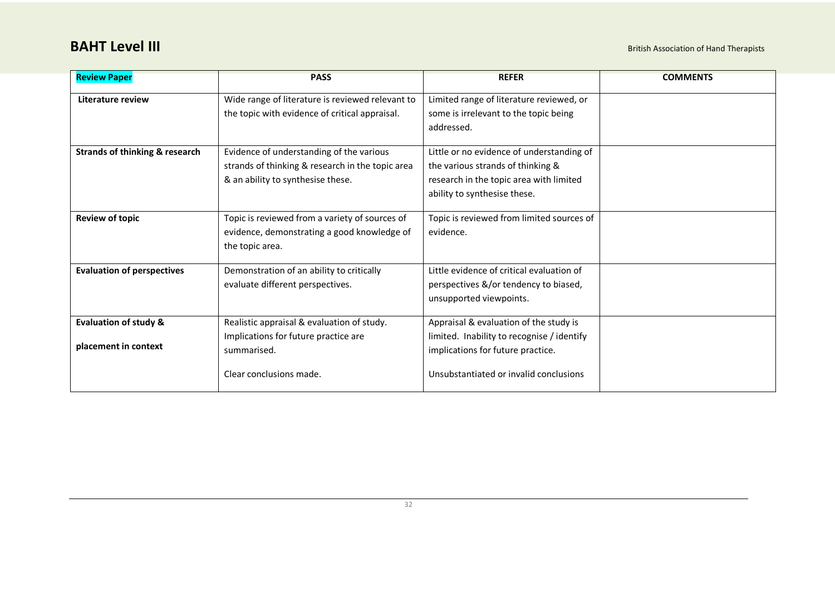| <b>Review Paper</b>                                      | <b>PASS</b>                                                                                                                       | <b>REFER</b>                                                                                                                                              | <b>COMMENTS</b> |
|----------------------------------------------------------|-----------------------------------------------------------------------------------------------------------------------------------|-----------------------------------------------------------------------------------------------------------------------------------------------------------|-----------------|
| <b>Literature review</b>                                 | Wide range of literature is reviewed relevant to<br>the topic with evidence of critical appraisal.                                | Limited range of literature reviewed, or<br>some is irrelevant to the topic being<br>addressed.                                                           |                 |
| <b>Strands of thinking &amp; research</b>                | Evidence of understanding of the various<br>strands of thinking & research in the topic area<br>& an ability to synthesise these. | Little or no evidence of understanding of<br>the various strands of thinking &<br>research in the topic area with limited<br>ability to synthesise these. |                 |
| <b>Review of topic</b>                                   | Topic is reviewed from a variety of sources of<br>evidence, demonstrating a good knowledge of<br>the topic area.                  | Topic is reviewed from limited sources of<br>evidence.                                                                                                    |                 |
| <b>Evaluation of perspectives</b>                        | Demonstration of an ability to critically<br>evaluate different perspectives.                                                     | Little evidence of critical evaluation of<br>perspectives &/or tendency to biased,<br>unsupported viewpoints.                                             |                 |
| <b>Evaluation of study &amp;</b><br>placement in context | Realistic appraisal & evaluation of study.<br>Implications for future practice are<br>summarised.                                 | Appraisal & evaluation of the study is<br>limited. Inability to recognise / identify<br>implications for future practice.                                 |                 |
|                                                          | Clear conclusions made.                                                                                                           | Unsubstantiated or invalid conclusions                                                                                                                    |                 |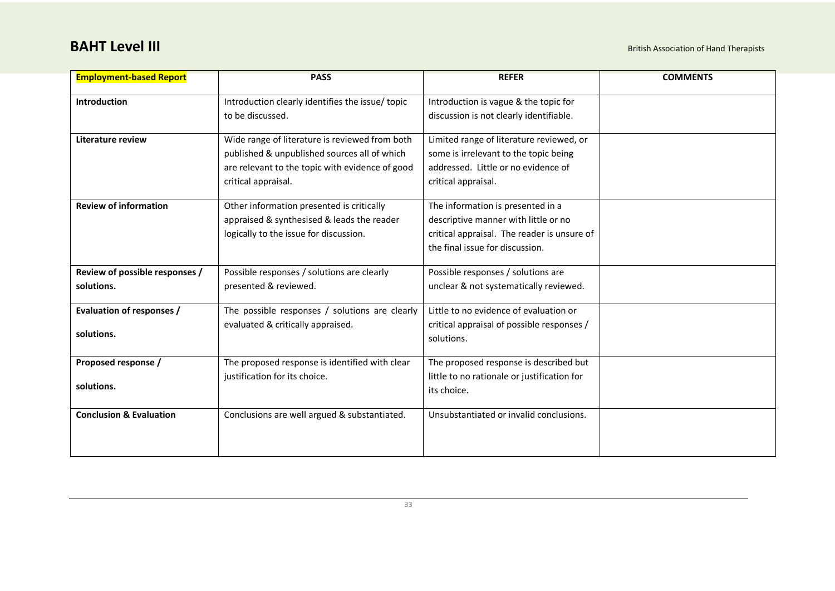| <b>Employment-based Report</b>               | <b>PASS</b>                                                                                                                                                              | <b>REFER</b>                                                                                                                                                | <b>COMMENTS</b> |
|----------------------------------------------|--------------------------------------------------------------------------------------------------------------------------------------------------------------------------|-------------------------------------------------------------------------------------------------------------------------------------------------------------|-----------------|
| Introduction                                 | Introduction clearly identifies the issue/topic<br>to be discussed.                                                                                                      | Introduction is vague & the topic for<br>discussion is not clearly identifiable.                                                                            |                 |
| Literature review                            | Wide range of literature is reviewed from both<br>published & unpublished sources all of which<br>are relevant to the topic with evidence of good<br>critical appraisal. | Limited range of literature reviewed, or<br>some is irrelevant to the topic being<br>addressed. Little or no evidence of<br>critical appraisal.             |                 |
| <b>Review of information</b>                 | Other information presented is critically<br>appraised & synthesised & leads the reader<br>logically to the issue for discussion.                                        | The information is presented in a<br>descriptive manner with little or no<br>critical appraisal. The reader is unsure of<br>the final issue for discussion. |                 |
| Review of possible responses /<br>solutions. | Possible responses / solutions are clearly<br>presented & reviewed.                                                                                                      | Possible responses / solutions are<br>unclear & not systematically reviewed.                                                                                |                 |
| Evaluation of responses /<br>solutions.      | The possible responses / solutions are clearly<br>evaluated & critically appraised.                                                                                      | Little to no evidence of evaluation or<br>critical appraisal of possible responses /<br>solutions.                                                          |                 |
| Proposed response /<br>solutions.            | The proposed response is identified with clear<br>justification for its choice.                                                                                          | The proposed response is described but<br>little to no rationale or justification for<br>its choice.                                                        |                 |
| <b>Conclusion &amp; Evaluation</b>           | Conclusions are well argued & substantiated.                                                                                                                             | Unsubstantiated or invalid conclusions.                                                                                                                     |                 |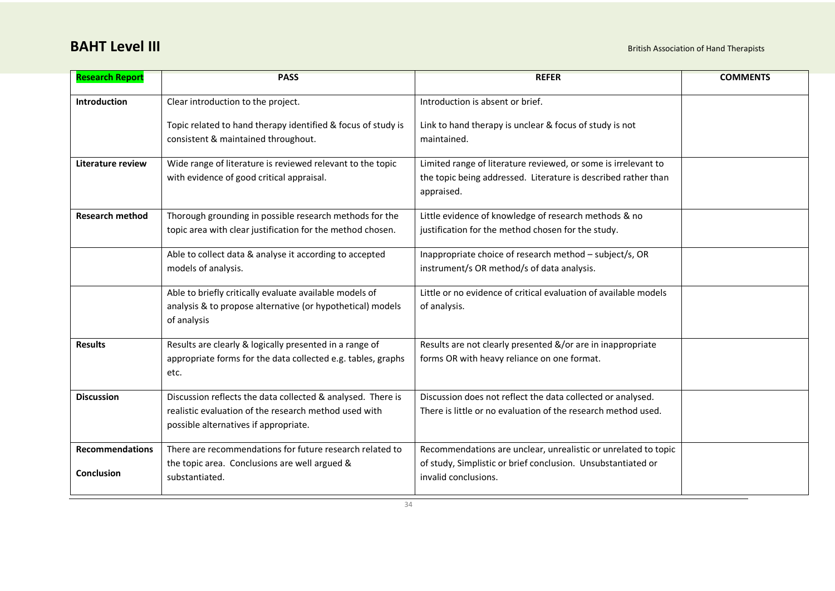| <b>Research Report</b>                      | <b>PASS</b>                                                                                                                                                   | <b>REFER</b>                                                                                                                                           | <b>COMMENTS</b> |
|---------------------------------------------|---------------------------------------------------------------------------------------------------------------------------------------------------------------|--------------------------------------------------------------------------------------------------------------------------------------------------------|-----------------|
| Introduction                                | Clear introduction to the project.                                                                                                                            | Introduction is absent or brief.                                                                                                                       |                 |
|                                             | Topic related to hand therapy identified & focus of study is<br>consistent & maintained throughout.                                                           | Link to hand therapy is unclear & focus of study is not<br>maintained.                                                                                 |                 |
| Literature review                           | Wide range of literature is reviewed relevant to the topic<br>with evidence of good critical appraisal.                                                       | Limited range of literature reviewed, or some is irrelevant to<br>the topic being addressed. Literature is described rather than<br>appraised.         |                 |
| <b>Research method</b>                      | Thorough grounding in possible research methods for the<br>topic area with clear justification for the method chosen.                                         | Little evidence of knowledge of research methods & no<br>justification for the method chosen for the study.                                            |                 |
|                                             | Able to collect data & analyse it according to accepted<br>models of analysis.                                                                                | Inappropriate choice of research method - subject/s, OR<br>instrument/s OR method/s of data analysis.                                                  |                 |
|                                             | Able to briefly critically evaluate available models of<br>analysis & to propose alternative (or hypothetical) models<br>of analysis                          | Little or no evidence of critical evaluation of available models<br>of analysis.                                                                       |                 |
| <b>Results</b>                              | Results are clearly & logically presented in a range of<br>appropriate forms for the data collected e.g. tables, graphs<br>etc.                               | Results are not clearly presented &/or are in inappropriate<br>forms OR with heavy reliance on one format.                                             |                 |
| <b>Discussion</b>                           | Discussion reflects the data collected & analysed. There is<br>realistic evaluation of the research method used with<br>possible alternatives if appropriate. | Discussion does not reflect the data collected or analysed.<br>There is little or no evaluation of the research method used.                           |                 |
| <b>Recommendations</b><br><b>Conclusion</b> | There are recommendations for future research related to<br>the topic area. Conclusions are well argued &<br>substantiated.                                   | Recommendations are unclear, unrealistic or unrelated to topic<br>of study, Simplistic or brief conclusion. Unsubstantiated or<br>invalid conclusions. |                 |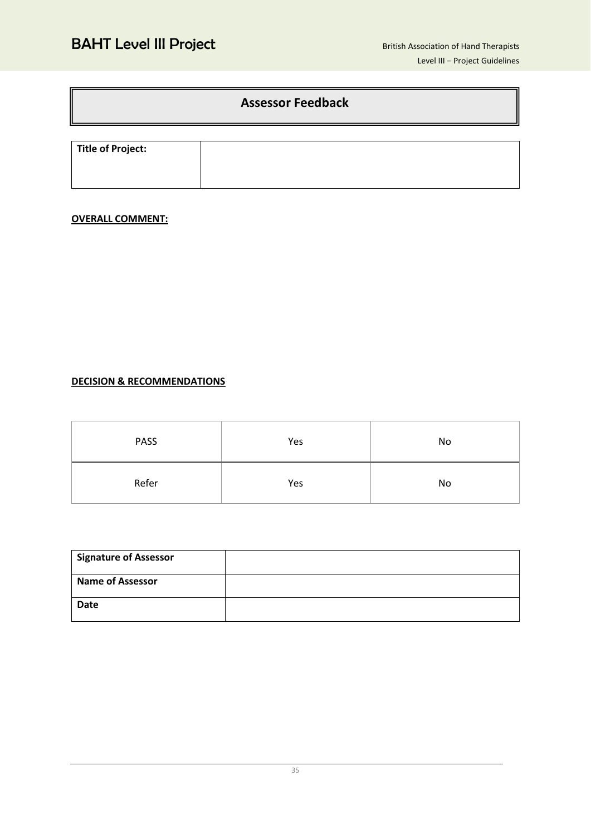## **Assessor Feedback**

| <b>Title of Project:</b> |  |  |
|--------------------------|--|--|
|                          |  |  |
|                          |  |  |
|                          |  |  |

#### **OVERALL COMMENT:**

#### **DECISION & RECOMMENDATIONS**

| <b>PASS</b> | Yes | No |
|-------------|-----|----|
| Refer       | Yes | No |

| <b>Signature of Assessor</b> |  |
|------------------------------|--|
| <b>Name of Assessor</b>      |  |
| <b>Date</b>                  |  |